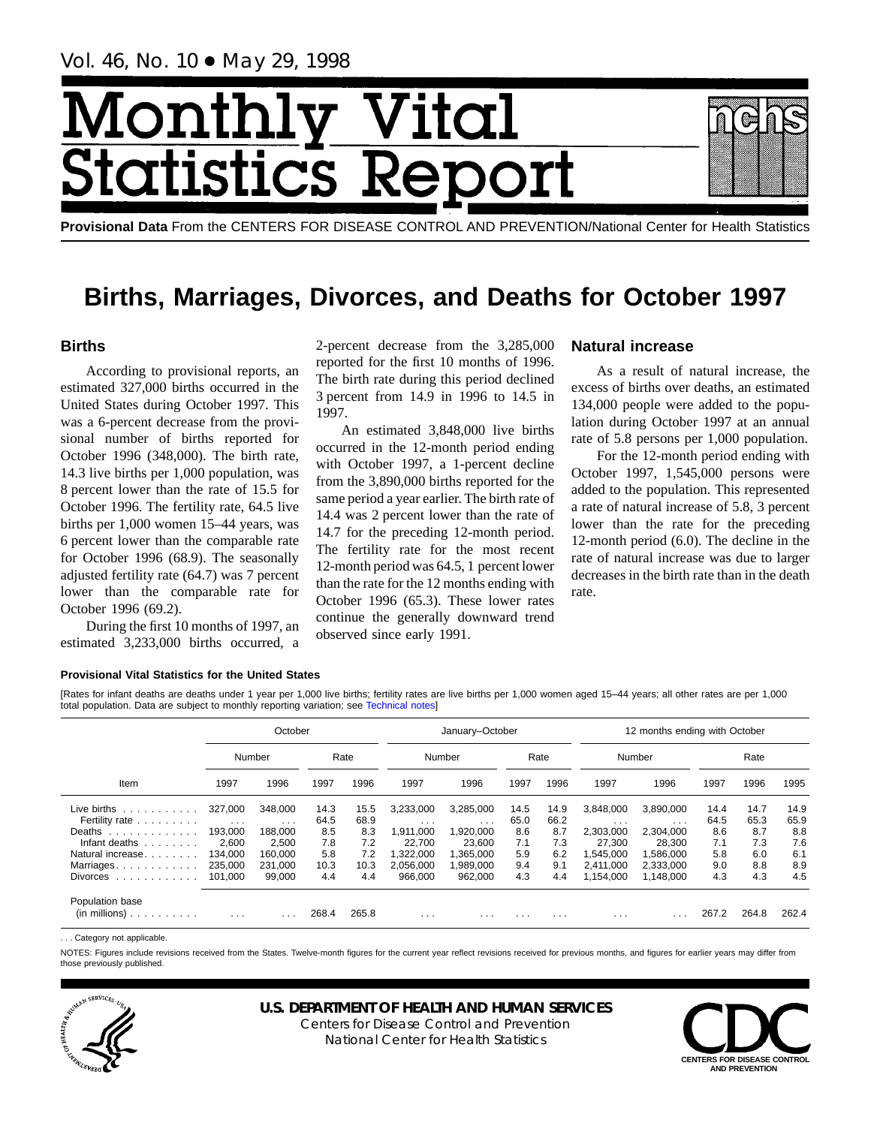Vol. 46, No. 10 ● May 29, 1998

# Month <u>| Vital</u> tics Re **Statist**

**Provisional Data** From the CENTERS FOR DISEASE CONTROL AND PREVENTION/National Center for Health Statistics

# **Births, Marriages, Divorces, and Deaths for October 1997**

# **Births**

According to provisional reports, an estimated 327,000 births occurred in the United States during October 1997. This was a 6-percent decrease from the provisional number of births reported for October 1996 (348,000). The birth rate, 14.3 live births per 1,000 population, was 8 percent lower than the rate of 15.5 for October 1996. The fertility rate, 64.5 live births per 1,000 women 15–44 years, was 6 percent lower than the comparable rate for October 1996 (68.9). The seasonally adjusted fertility rate (64.7) was 7 percent lower than the comparable rate for October 1996 (69.2).

During the first 10 months of 1997, an estimated 3,233,000 births occurred, a

2-percent decrease from the 3,285,000 reported for the first 10 months of 1996. The birth rate during this period declined 3 percent from 14.9 in 1996 to 14.5 in 1997.

An estimated 3,848,000 live births occurred in the 12-month period ending with October 1997, a 1-percent decline from the 3,890,000 births reported for the same period a year earlier. The birth rate of 14.4 was 2 percent lower than the rate of 14.7 for the preceding 12-month period. The fertility rate for the most recent 12-month period was 64.5, 1 percent lower than the rate for the 12 months ending with October 1996 (65.3). These lower rates continue the generally downward trend observed since early 1991.

# **Natural increase**

As a result of natural increase, the excess of births over deaths, an estimated 134,000 people were added to the population during October 1997 at an annual rate of 5.8 persons per 1,000 population.

For the 12-month period ending with October 1997, 1,545,000 persons were added to the population. This represented a rate of natural increase of 5.8, 3 percent lower than the rate for the preceding 12-month period (6.0). The decline in the rate of natural increase was due to larger decreases in the birth rate than in the death rate.

# **Provisional Vital Statistics for the United States**

[Rates for infant deaths are deaths under 1 year per 1,000 live births; fertility rates are live births per 1,000 women aged 15–44 years; all other rates are per 1,000 total population. Data are subject to monthly reporting variation; see [Technical notes\]](#page-16-0)

|                                         |          | October  |       |       |           | January-October |          |          | 12 months ending with October |           |       |       |       |  |  |
|-----------------------------------------|----------|----------|-------|-------|-----------|-----------------|----------|----------|-------------------------------|-----------|-------|-------|-------|--|--|
|                                         |          | Number   |       | Rate  | Number    |                 |          | Rate     |                               | Number    |       | Rate  |       |  |  |
| Item                                    | 1997     | 1996     | 1997  | 1996  | 1997      | 1996<br>1997    |          | 1996     | 1997                          | 1996      | 1997  | 1996  | 1995  |  |  |
| Live births $\ldots$ ,                  | 327.000  | 348,000  | 14.3  | 15.5  | 3.233.000 | 3,285,000       | 14.5     | 14.9     | 3.848.000                     | 3.890.000 | 14.4  | 14.7  | 14.9  |  |  |
| Fertility rate                          | $\cdots$ | $\cdots$ | 64.5  | 68.9  | $\cdots$  | $\cdots$        | 65.0     | 66.2     | $\cdots$                      | $\cdots$  | 64.5  | 65.3  | 65.9  |  |  |
| Deaths                                  | 193.000  | 188.000  | 8.5   | 8.3   | .911.000  | 1,920,000       | 8.6      | 8.7      | 2.303.000                     | 2,304,000 | 8.6   | 8.7   | 8.8   |  |  |
| Infant deaths                           | 2.600    | 2.500    | 7.8   | 7.2   | 22.700    | 23.600          | 7.1      | 7.3      | 27.300                        | 28.300    | 7.1   | 7.3   | 7.6   |  |  |
| Natural increase.                       | 134.000  | 160.000  | 5.8   | 7.2   | 1.322.000 | 1.365.000       | 5.9      | 6.2      | 1.545.000                     | 1.586.000 | 5.8   | 6.0   | 6.1   |  |  |
| Marriages                               | 235,000  | 231,000  | 10.3  | 10.3  | 2,056,000 | 1,989,000       | 9.4      | 9.1      | 2,411,000                     | 2,333,000 | 9.0   | 8.8   | 8.9   |  |  |
| Divorces $\ldots$ , $\ldots$ , $\ldots$ | 101.000  | 99,000   | 4.4   | 4.4   | 966.000   | 962.000         | 4.3      | 4.4      | 1,154,000                     | 1,148,000 | 4.3   | 4.3   | 4.5   |  |  |
| Population base<br>$(in$ millions $)$   | $\cdots$ | .        | 268.4 | 265.8 | $\cdots$  | .               | $\cdots$ | $\cdots$ | $\cdots$                      | .         | 267.2 | 264.8 | 262.4 |  |  |

. . . Category not applicable.

NOTES: Figures include revisions received from the States. Twelve-month figures for the current year reflect revisions received for previous months, and figures for earlier years may differ from those previously published.



# **U.S. DEPARTMENT OF HEALTH AND HUMAN SERVICES**

Centers for Disease Control and Prevention National Center for Health Statistics

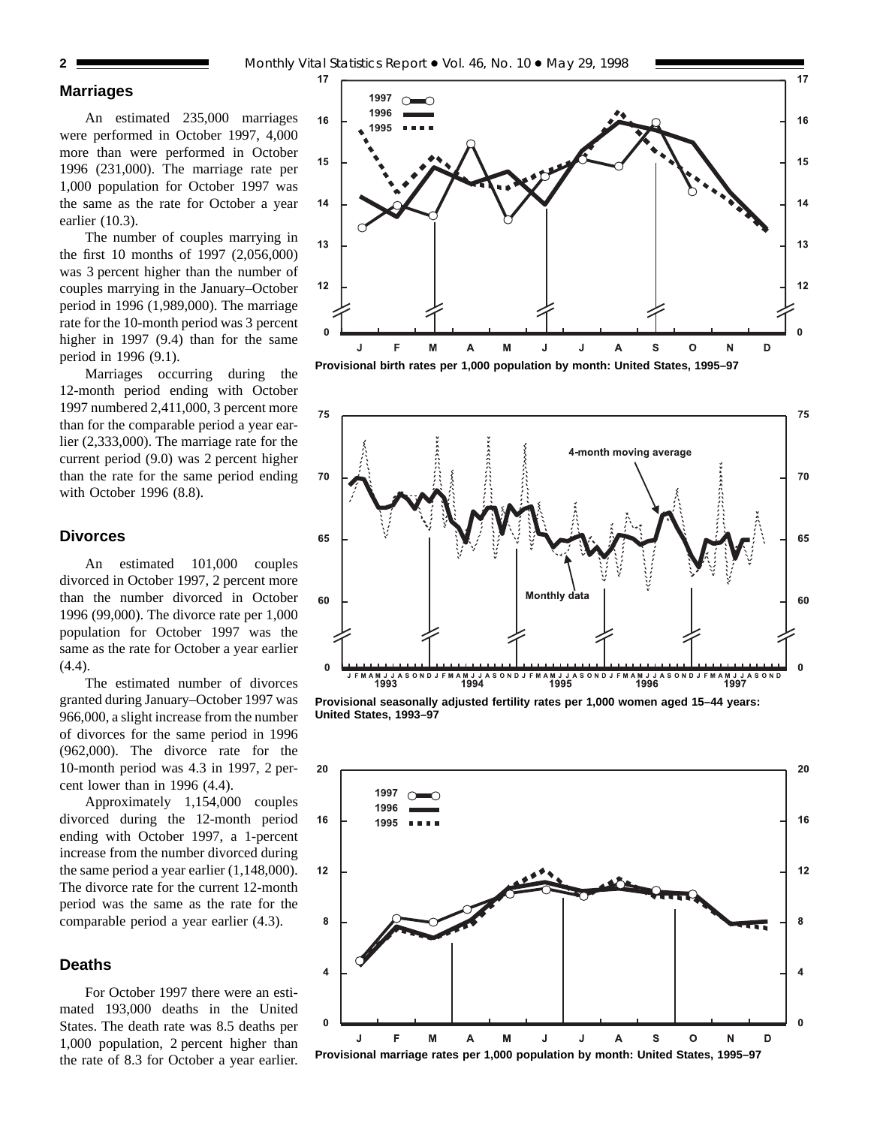# **Marriages**

An estimated 235,000 marriages were performed in October 1997, 4,000 more than were performed in October 1996 (231,000). The marriage rate per 1,000 population for October 1997 was the same as the rate for October a year earlier (10.3).

The number of couples marrying in the first 10 months of 1997 (2,056,000) was 3 percent higher than the number of couples marrying in the January–October period in 1996 (1,989,000). The marriage rate for the 10-month period was 3 percent higher in 1997 (9.4) than for the same period in 1996 (9.1).

Marriages occurring during the 12-month period ending with October 1997 numbered 2,411,000, 3 percent more than for the comparable period a year earlier (2,333,000). The marriage rate for the current period (9.0) was 2 percent higher than the rate for the same period ending with October 1996 (8.8).

# **Divorces**

An estimated 101,000 couples divorced in October 1997, 2 percent more than the number divorced in October 1996 (99,000). The divorce rate per 1,000 population for October 1997 was the same as the rate for October a year earlier (4.4).

The estimated number of divorces granted during January–October 1997 was 966,000, a slight increase from the number of divorces for the same period in 1996 (962,000). The divorce rate for the 10-month period was 4.3 in 1997, 2 percent lower than in 1996 (4.4).

Approximately 1,154,000 couples divorced during the 12-month period ending with October 1997, a 1-percent increase from the number divorced during the same period a year earlier (1,148,000). The divorce rate for the current 12-month period was the same as the rate for the comparable period a year earlier (4.3).

# **Deaths**

For October 1997 there were an estimated 193,000 deaths in the United States. The death rate was 8.5 deaths per 1,000 population, 2 percent higher than the rate of 8.3 for October a year earlier.



**Provisional birth rates per 1,000 population by month: United States, 1995–97**



**Provisional seasonally adjusted fertility rates per 1,000 women aged 15–44 years: United States, 1993–97**

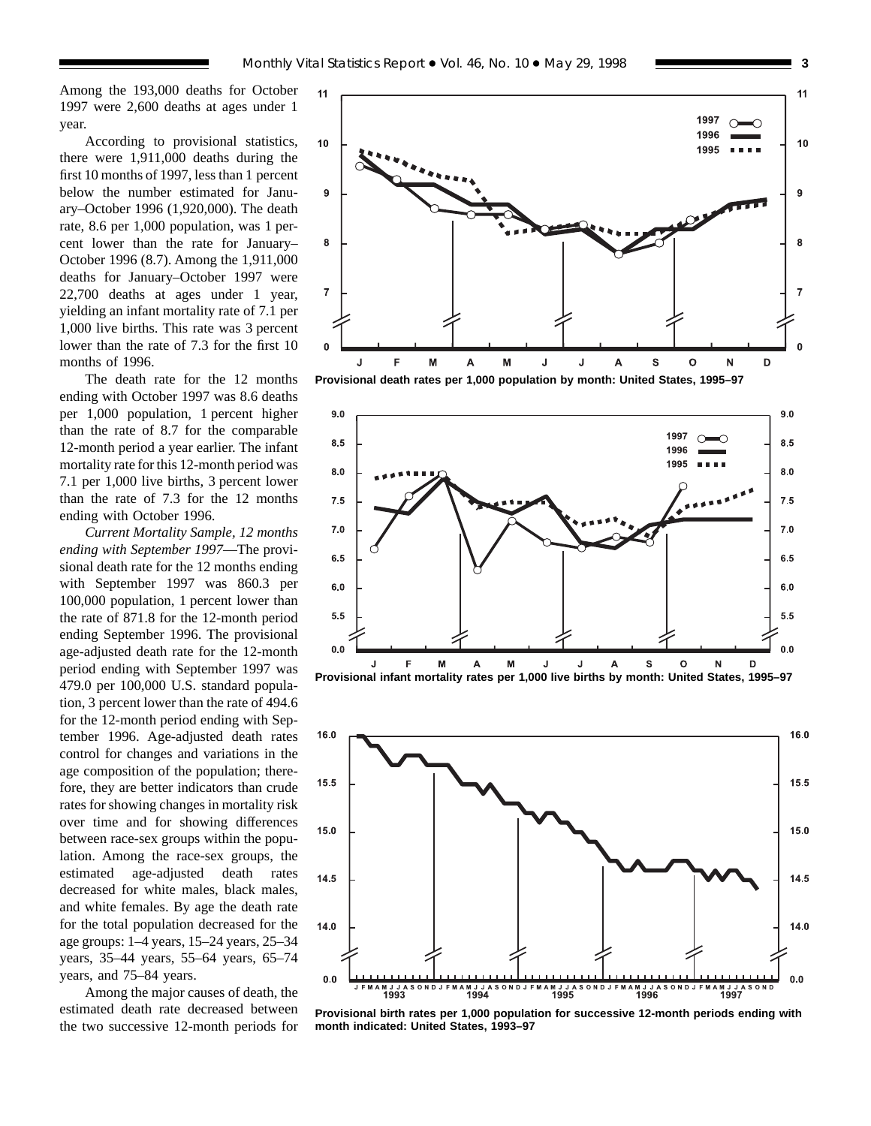Among the 193,000 deaths for October 1997 were 2,600 deaths at ages under 1 year.

According to provisional statistics, there were 1,911,000 deaths during the first 10 months of 1997, less than 1 percent below the number estimated for January–October 1996 (1,920,000). The death rate, 8.6 per 1,000 population, was 1 percent lower than the rate for January– October 1996 (8.7). Among the 1,911,000 deaths for January–October 1997 were 22,700 deaths at ages under 1 year, yielding an infant mortality rate of 7.1 per 1,000 live births. This rate was 3 percent lower than the rate of 7.3 for the first 10 months of 1996.

The death rate for the 12 months ending with October 1997 was 8.6 deaths per 1,000 population, 1 percent higher than the rate of 8.7 for the comparable 12-month period a year earlier. The infant mortality rate for this 12-month period was 7.1 per 1,000 live births, 3 percent lower than the rate of 7.3 for the 12 months ending with October 1996.

*Current Mortality Sample, 12 months ending with September 1997*—The provisional death rate for the 12 months ending with September 1997 was 860.3 per 100,000 population, 1 percent lower than the rate of 871.8 for the 12-month period ending September 1996. The provisional age-adjusted death rate for the 12-month period ending with September 1997 was 479.0 per 100,000 U.S. standard population, 3 percent lower than the rate of 494.6 for the 12-month period ending with September 1996. Age-adjusted death rates control for changes and variations in the age composition of the population; therefore, they are better indicators than crude rates for showing changes in mortality risk over time and for showing differences between race-sex groups within the population. Among the race-sex groups, the estimated age-adjusted death rates decreased for white males, black males, and white females. By age the death rate for the total population decreased for the age groups: 1–4 years, 15–24 years, 25–34 years, 35–44 years, 55–64 years, 65–74 years, and 75–84 years.

Among the major causes of death, the estimated death rate decreased between the two successive 12-month periods for



**Provisional death rates per 1,000 population by month: United States, 1995–97**





**Provisional birth rates per 1,000 population for successive 12-month periods ending with month indicated: United States, 1993–97**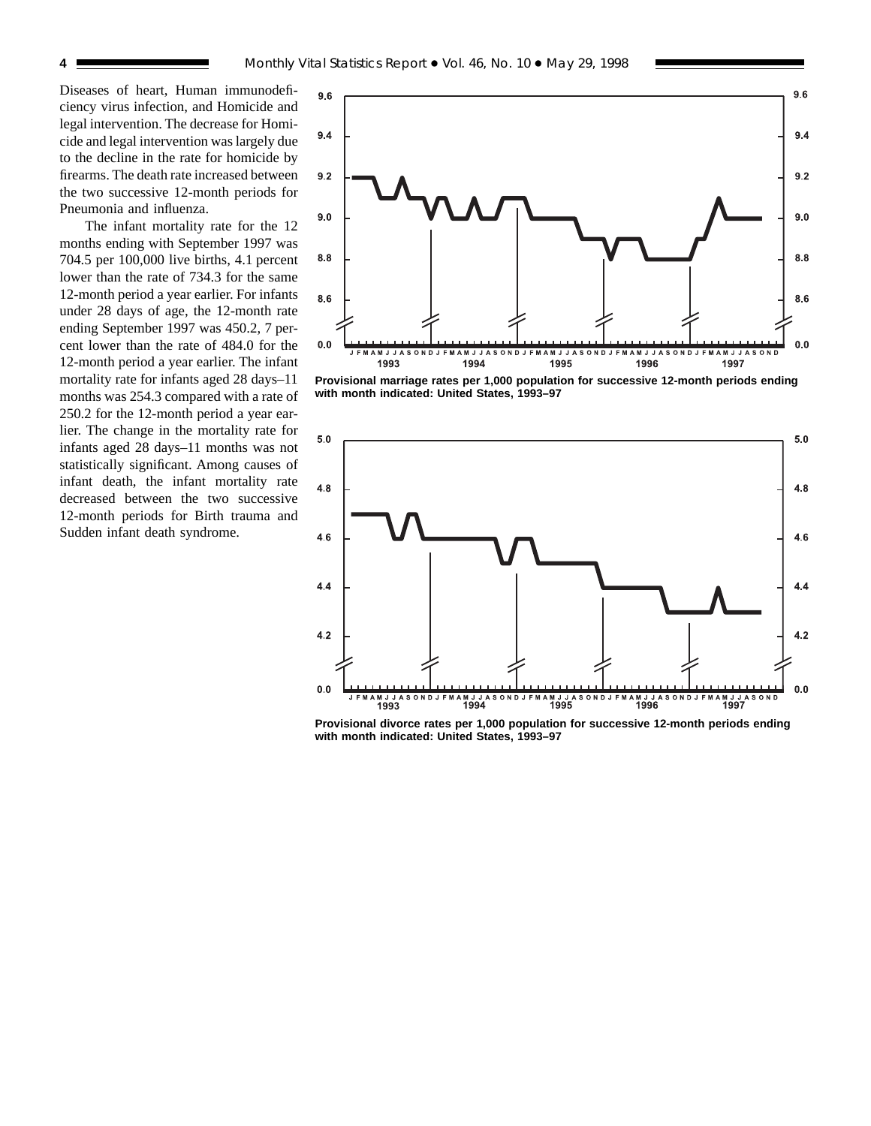Diseases of heart, Human immunodeficiency virus infection, and Homicide and legal intervention. The decrease for Homicide and legal intervention was largely due to the decline in the rate for homicide by firearms. The death rate increased between the two successive 12-month periods for Pneumonia and influenza.

The infant mortality rate for the 12 months ending with September 1997 was 704.5 per 100,000 live births, 4.1 percent lower than the rate of 734.3 for the same 12-month period a year earlier. For infants under 28 days of age, the 12-month rate ending September 1997 was 450.2, 7 percent lower than the rate of 484.0 for the 12-month period a year earlier. The infant mortality rate for infants aged 28 days–11 months was 254.3 compared with a rate of 250.2 for the 12-month period a year earlier. The change in the mortality rate for infants aged 28 days–11 months was not statistically significant. Among causes of infant death, the infant mortality rate decreased between the two successive 12-month periods for Birth trauma and Sudden infant death syndrome.



**Provisional marriage rates per 1,000 population for successive 12-month periods ending with month indicated: United States, 1993–97**



**Provisional divorce rates per 1,000 population for successive 12-month periods ending with month indicated: United States, 1993–97**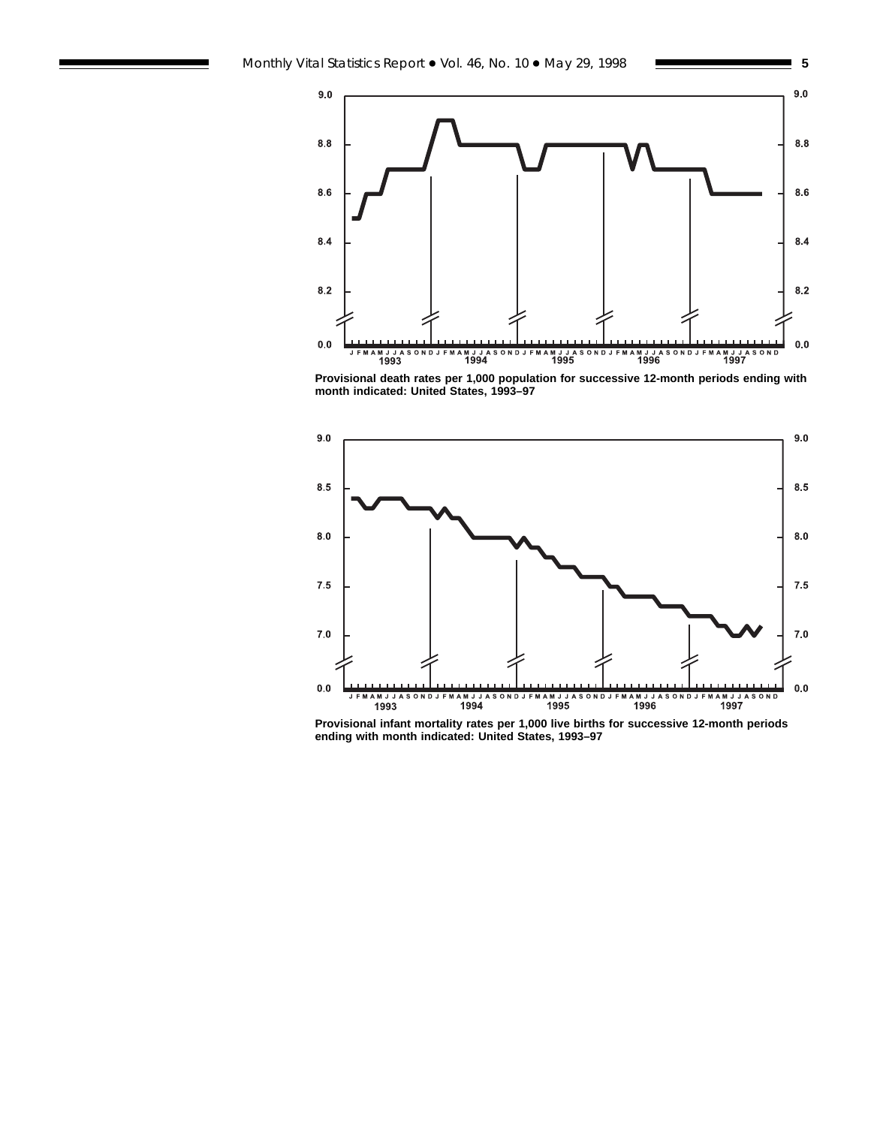$9.0$ 

 $8.8$ 

 $8.6$ 

 $8.4$ 

 $\bf 8.2$ 

 $0.0\,$ 

MAMJJA<br>1993



**Provisional death rates per 1,000 population for successive 12-month periods ending with month indicated: United States, 1993–97**



**Provisional infant mortality rates per 1,000 live births for successive 12-month periods ending with month indicated: United States, 1993–97**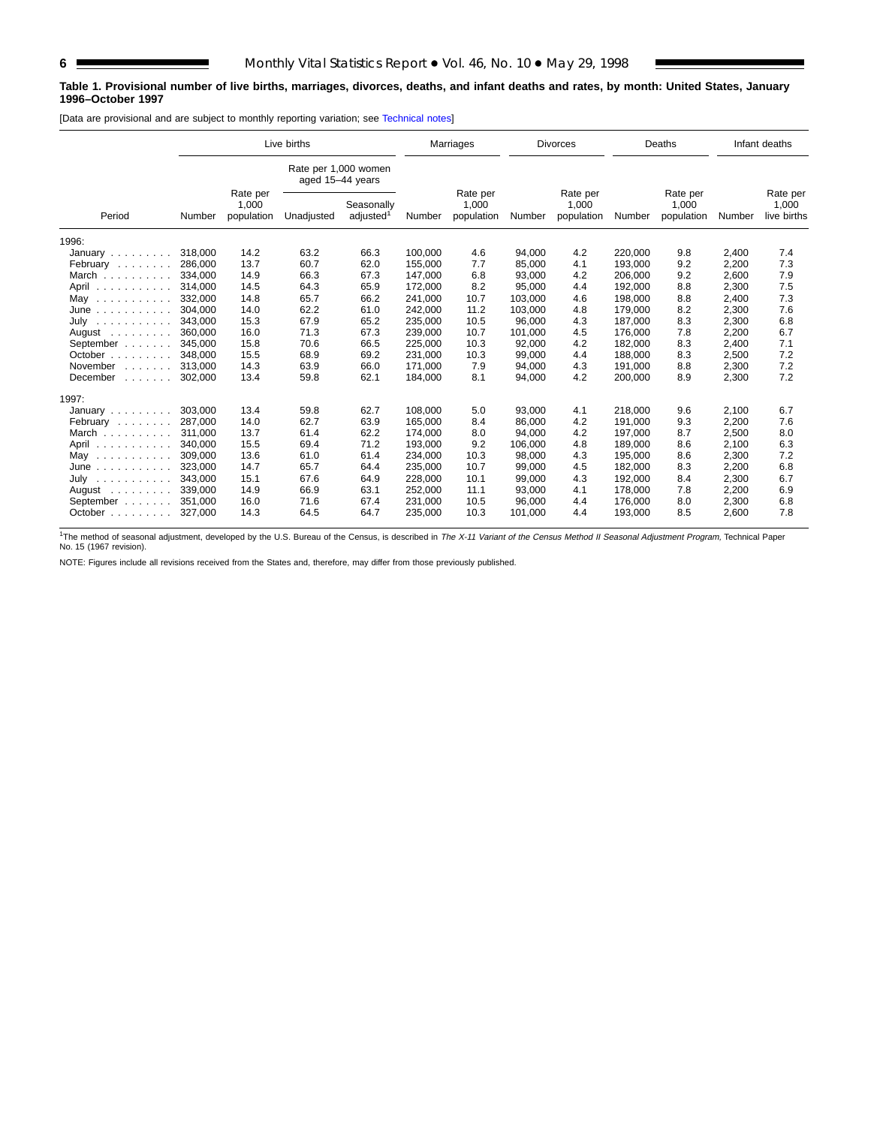# **Table 1. Provisional number of live births, marriages, divorces, deaths, and infant deaths and rates, by month: United States, January 1996–October 1997**

[Data are provisional and are subject to monthly reporting variation; see [Technical notes\]](#page-16-0)

| Live births                                                                                   |         |                                 |                                          | Marriages                           |         | <b>Divorces</b>                 |         |                                 | Deaths  |                                 | Infant deaths |                                  |
|-----------------------------------------------------------------------------------------------|---------|---------------------------------|------------------------------------------|-------------------------------------|---------|---------------------------------|---------|---------------------------------|---------|---------------------------------|---------------|----------------------------------|
|                                                                                               |         |                                 | Rate per 1,000 women<br>aged 15-44 years |                                     |         |                                 |         |                                 |         |                                 |               |                                  |
| Period                                                                                        | Number  | Rate per<br>1,000<br>population | Unadjusted                               | Seasonally<br>adjusted <sup>1</sup> | Number  | Rate per<br>1,000<br>population | Number  | Rate per<br>1,000<br>population | Number  | Rate per<br>1,000<br>population | Number        | Rate per<br>1,000<br>live births |
| 1996:                                                                                         |         |                                 |                                          |                                     |         |                                 |         |                                 |         |                                 |               |                                  |
| January                                                                                       | 318,000 | 14.2                            | 63.2                                     | 66.3                                | 100,000 | 4.6                             | 94,000  | 4.2                             | 220,000 | 9.8                             | 2,400         | 7.4                              |
| February                                                                                      | 286,000 | 13.7                            | 60.7                                     | 62.0                                | 155,000 | 7.7                             | 85,000  | 4.1                             | 193,000 | 9.2                             | 2,200         | 7.3                              |
| March                                                                                         | 334.000 | 14.9                            | 66.3                                     | 67.3                                | 147,000 | 6.8                             | 93,000  | 4.2                             | 206,000 | 9.2                             | 2,600         | 7.9                              |
| April<br>.                                                                                    | 314,000 | 14.5                            | 64.3                                     | 65.9                                | 172,000 | 8.2                             | 95,000  | 4.4                             | 192,000 | 8.8                             | 2,300         | 7.5                              |
| May<br>.                                                                                      | 332,000 | 14.8                            | 65.7                                     | 66.2                                | 241,000 | 10.7                            | 103,000 | 4.6                             | 198,000 | 8.8                             | 2,400         | 7.3                              |
| June<br>.                                                                                     | 304,000 | 14.0                            | 62.2                                     | 61.0                                | 242,000 | 11.2                            | 103,000 | 4.8                             | 179,000 | 8.2                             | 2,300         | 7.6                              |
| July<br>$\begin{array}{cccccccccccccc} . & . & . & . & . & . & . & . & . & . & . \end{array}$ | 343,000 | 15.3                            | 67.9                                     | 65.2                                | 235,000 | 10.5                            | 96,000  | 4.3                             | 187,000 | 8.3                             | 2,300         | 6.8                              |
| August $\ldots$ ,                                                                             | 360.000 | 16.0                            | 71.3                                     | 67.3                                | 239,000 | 10.7                            | 101,000 | 4.5                             | 176.000 | 7.8                             | 2,200         | 6.7                              |
| September                                                                                     | 345,000 | 15.8                            | 70.6                                     | 66.5                                | 225,000 | 10.3                            | 92,000  | 4.2                             | 182,000 | 8.3                             | 2,400         | 7.1                              |
| October                                                                                       | 348.000 | 15.5                            | 68.9                                     | 69.2                                | 231,000 | 10.3                            | 99,000  | 4.4                             | 188,000 | 8.3                             | 2,500         | 7.2                              |
| November<br>$\mathcal{L}^{\mathcal{A}}$ . The set of the set of $\mathcal{A}$                 | 313.000 | 14.3                            | 63.9                                     | 66.0                                | 171,000 | 7.9                             | 94,000  | 4.3                             | 191,000 | 8.8                             | 2,300         | 7.2                              |
| December<br>$\mathbb{Z}^2$ . The set of the $\mathbb{Z}^2$                                    | 302,000 | 13.4                            | 59.8                                     | 62.1                                | 184,000 | 8.1                             | 94,000  | 4.2                             | 200,000 | 8.9                             | 2,300         | 7.2                              |
| 1997:                                                                                         |         |                                 |                                          |                                     |         |                                 |         |                                 |         |                                 |               |                                  |
| January                                                                                       | 303,000 | 13.4                            | 59.8                                     | 62.7                                | 108,000 | 5.0                             | 93,000  | 4.1                             | 218,000 | 9.6                             | 2,100         | 6.7                              |
| February                                                                                      | 287.000 | 14.0                            | 62.7                                     | 63.9                                | 165.000 | 8.4                             | 86.000  | 4.2                             | 191.000 | 9.3                             | 2,200         | 7.6                              |
| March                                                                                         | 311.000 | 13.7                            | 61.4                                     | 62.2                                | 174,000 | 8.0                             | 94,000  | 4.2                             | 197,000 | 8.7                             | 2,500         | 8.0                              |
| April                                                                                         | 340,000 | 15.5                            | 69.4                                     | 71.2                                | 193,000 | 9.2                             | 106,000 | 4.8                             | 189,000 | 8.6                             | 2,100         | 6.3                              |
| May<br>.                                                                                      | 309,000 | 13.6                            | 61.0                                     | 61.4                                | 234,000 | 10.3                            | 98,000  | 4.3                             | 195,000 | 8.6                             | 2,300         | 7.2                              |
| June<br>.                                                                                     | 323.000 | 14.7                            | 65.7                                     | 64.4                                | 235,000 | 10.7                            | 99,000  | 4.5                             | 182.000 | 8.3                             | 2,200         | 6.8                              |
| July<br>.                                                                                     | 343,000 | 15.1                            | 67.6                                     | 64.9                                | 228,000 | 10.1                            | 99,000  | 4.3                             | 192,000 | 8.4                             | 2,300         | 6.7                              |
| August $\ldots$ ,                                                                             | 339,000 | 14.9                            | 66.9                                     | 63.1                                | 252,000 | 11.1                            | 93,000  | 4.1                             | 178,000 | 7.8                             | 2,200         | 6.9                              |
| September                                                                                     | 351.000 | 16.0                            | 71.6                                     | 67.4                                | 231,000 | 10.5                            | 96,000  | 4.4                             | 176,000 | 8.0                             | 2,300         | 6.8                              |
| October                                                                                       | 327,000 | 14.3                            | 64.5                                     | 64.7                                | 235,000 | 10.3                            | 101,000 | 4.4                             | 193,000 | 8.5                             | 2,600         | 7.8                              |

<sup>1</sup>The method of seasonal adjustment, developed by the U.S. Bureau of the Census, is described in *The X-11 Variant of the Census Method II Seasonal Adjustment Program,* Technical Paper<br>No. 15 (1967 revision).

NOTE: Figures include all revisions received from the States and, therefore, may differ from those previously published.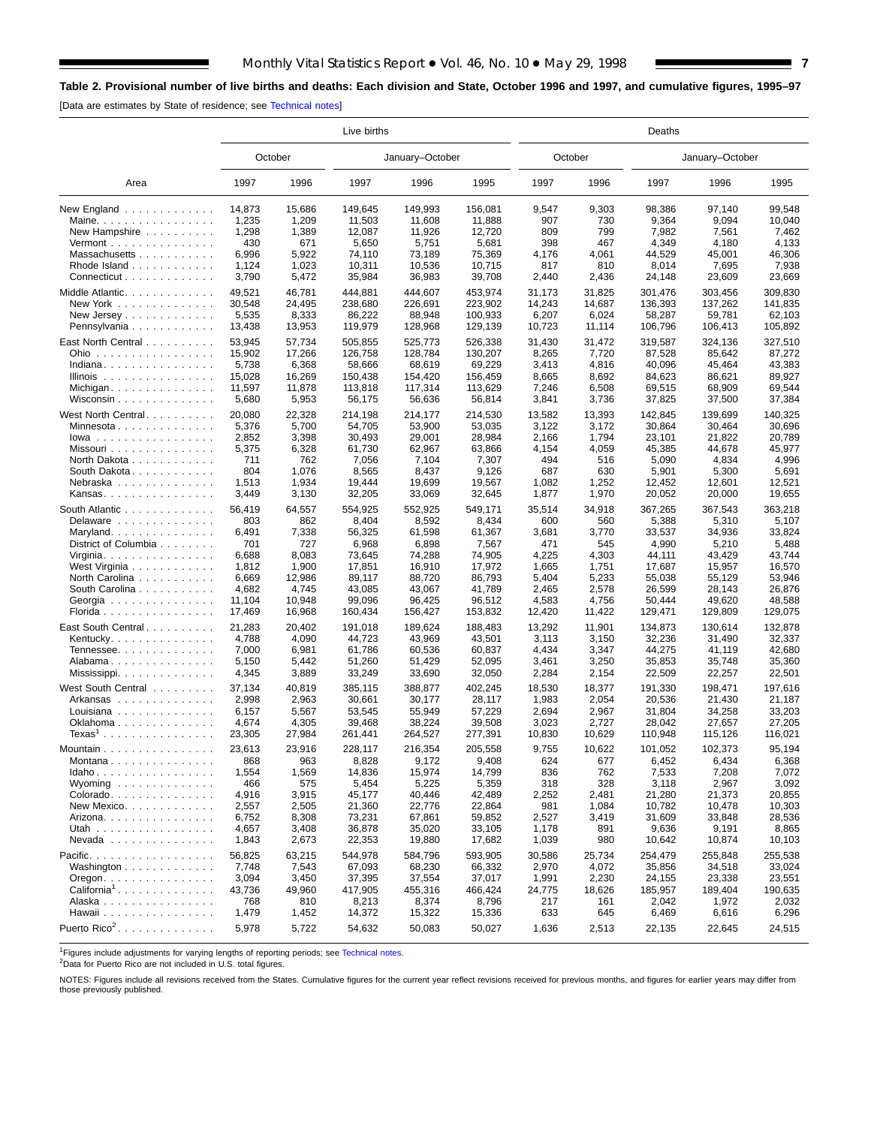# <span id="page-6-0"></span>**Table 2. Provisional number of live births and deaths: Each division and State, October 1996 and 1997, and cumulative figures, 1995–97**

[Data are estimates by State of residence; see [Technical notes\]](#page-16-0)

|                                             | Live births |         |         |                 |         |        | Deaths  |         |                 |         |  |  |  |  |
|---------------------------------------------|-------------|---------|---------|-----------------|---------|--------|---------|---------|-----------------|---------|--|--|--|--|
|                                             |             | October |         | January-October |         |        | October |         | January-October |         |  |  |  |  |
| Area                                        | 1997        | 1996    | 1997    | 1996            | 1995    | 1997   | 1996    | 1997    | 1996            | 1995    |  |  |  |  |
| New England $\ldots$ ,                      | 14,873      | 15,686  | 149,645 | 149,993         | 156,081 | 9,547  | 9,303   | 98.386  | 97,140          | 99,548  |  |  |  |  |
| Maine. $\ldots$                             | 1,235       | 1,209   | 11,503  | 11,608          | 11,888  | 907    | 730     | 9,364   | 9,094           | 10,040  |  |  |  |  |
| New Hampshire                               | 1,298       | 1,389   | 12,087  | 11,926          | 12,720  | 809    | 799     | 7,982   | 7,561           | 7,462   |  |  |  |  |
| Vermont $\dots\dots\dots\dots\dots\dots$    | 430         | 671     | 5,650   | 5,751           | 5,681   | 398    | 467     | 4,349   | 4,180           | 4,133   |  |  |  |  |
| Massachusetts                               | 6,996       | 5,922   | 74,110  | 73,189          | 75,369  | 4,176  | 4,061   | 44,529  | 45,001          | 46,306  |  |  |  |  |
| Rhode Island                                | 1,124       | 1,023   | 10,311  | 10,536          | 10.715  | 817    | 810     | 8,014   | 7,695           | 7,938   |  |  |  |  |
| Connecticut                                 | 3,790       | 5,472   | 35,984  | 36,983          | 39,708  | 2,440  | 2,436   | 24,148  | 23,609          | 23,669  |  |  |  |  |
| Middle Atlantic.                            | 49,521      | 46,781  | 444,881 | 444,607         | 453,974 | 31,173 | 31,825  | 301,476 | 303,456         | 309,830 |  |  |  |  |
| New York $\ldots$ , $\ldots$ , $\ldots$     | 30,548      | 24,495  | 238,680 | 226,691         | 223,902 | 14,243 | 14,687  | 136,393 | 137,262         | 141,835 |  |  |  |  |
| New Jersey                                  | 5,535       | 8,333   | 86,222  | 88,948          | 100.933 | 6,207  | 6,024   | 58.287  | 59,781          | 62,103  |  |  |  |  |
| Pennsylvania                                | 13,438      | 13,953  | 119,979 | 128,968         | 129,139 | 10,723 | 11,114  | 106,796 | 106,413         | 105,892 |  |  |  |  |
|                                             |             |         |         |                 |         |        |         |         |                 |         |  |  |  |  |
| East North Central                          | 53,945      | 57,734  | 505,855 | 525,773         | 526,338 | 31,430 | 31,472  | 319,587 | 324,136         | 327,510 |  |  |  |  |
| Ohio                                        | 15,902      | 17,266  | 126,758 | 128,784         | 130,207 | 8,265  | 7,720   | 87,528  | 85,642          | 87,272  |  |  |  |  |
| Indiana                                     | 5,738       | 6,368   | 58,666  | 68,619          | 69,229  | 3,413  | 4,816   | 40,096  | 45,464          | 43,383  |  |  |  |  |
| Illinois $\dots \dots \dots \dots \dots$    | 15,028      | 16,269  | 150,438 | 154,420         | 156,459 | 8,665  | 8,692   | 84,623  | 86,621          | 89,927  |  |  |  |  |
|                                             | 11,597      | 11,878  | 113,818 | 117,314         | 113,629 | 7,246  | 6,508   | 69,515  | 68,909          | 69,544  |  |  |  |  |
| Wisconsin                                   | 5,680       | 5,953   | 56,175  | 56,636          | 56,814  | 3,841  | 3,736   | 37,825  | 37,500          | 37,384  |  |  |  |  |
| West North Central.                         | 20,080      | 22,328  | 214,198 | 214,177         | 214,530 | 13,582 | 13,393  | 142,845 | 139,699         | 140,325 |  |  |  |  |
| Minnesota                                   | 5,376       | 5,700   | 54,705  | 53,900          | 53,035  | 3,122  | 3,172   | 30,864  | 30,464          | 30,696  |  |  |  |  |
| $lowa$                                      | 2,852       | 3,398   | 30,493  | 29,001          | 28,984  | 2,166  | 1,794   | 23,101  | 21,822          | 20,789  |  |  |  |  |
| Missouri                                    | 5,375       | 6,328   | 61,730  | 62,967          | 63,866  | 4,154  | 4,059   | 45,385  | 44,678          | 45,977  |  |  |  |  |
| North Dakota                                | 711         | 762     | 7,056   | 7,104           | 7,307   | 494    | 516     | 5,090   | 4,834           | 4,996   |  |  |  |  |
| South Dakota                                | 804         | 1,076   | 8,565   | 8,437           | 9,126   | 687    | 630     | 5,901   | 5,300           | 5,691   |  |  |  |  |
| Nebraska                                    | 1,513       | 1,934   | 19,444  | 19,699          | 19,567  | 1,082  | 1,252   | 12,452  | 12,601          | 12,521  |  |  |  |  |
| Kansas                                      | 3,449       | 3,130   | 32,205  | 33,069          | 32,645  | 1,877  | 1,970   | 20,052  | 20,000          | 19,655  |  |  |  |  |
|                                             |             |         |         |                 |         |        |         |         |                 |         |  |  |  |  |
| South Atlantic                              | 56,419      | 64,557  | 554,925 | 552,925         | 549,171 | 35,514 | 34,918  | 367,265 | 367,543         | 363,218 |  |  |  |  |
| Delaware                                    | 803         | 862     | 8,404   | 8,592           | 8,434   | 600    | 560     | 5,388   | 5,310           | 5,107   |  |  |  |  |
| Maryland                                    | 6,491       | 7,338   | 56,325  | 61,598          | 61,367  | 3,681  | 3,770   | 33,537  | 34,936          | 33,824  |  |  |  |  |
| District of Columbia                        | 701         | 727     | 6,968   | 6,898           | 7,567   | 471    | 545     | 4,990   | 5,210           | 5,488   |  |  |  |  |
| Virginia. $\ldots \ldots \ldots \ldots$     | 6,688       | 8,083   | 73,645  | 74,288          | 74,905  | 4,225  | 4,303   | 44,111  | 43,429          | 43,744  |  |  |  |  |
| West Virginia                               | 1,812       | 1,900   | 17,851  | 16,910          | 17,972  | 1,665  | 1,751   | 17,687  | 15,957          | 16,570  |  |  |  |  |
| North Carolina                              | 6,669       | 12,986  | 89,117  | 88,720          | 86,793  | 5,404  | 5,233   | 55,038  | 55,129          | 53,946  |  |  |  |  |
| South Carolina                              | 4,682       | 4,745   | 43,085  | 43,067          | 41,789  | 2,465  | 2,578   | 26,599  | 28,143          | 26,876  |  |  |  |  |
| Georgia                                     | 11,104      | 10,948  | 99,096  | 96,425          | 96,512  | 4,583  | 4,756   | 50,444  | 49,620          | 48,588  |  |  |  |  |
| Florida                                     | 17,469      | 16,968  | 160,434 | 156,427         | 153,832 | 12,420 | 11,422  | 129,471 | 129,809         | 129,075 |  |  |  |  |
| East South Central.                         | 21,283      | 20,402  | 191,018 | 189,624         | 188,483 | 13,292 | 11,901  | 134,873 | 130,614         | 132,878 |  |  |  |  |
| Kentucky. $\ldots$ .                        | 4,788       | 4,090   | 44,723  | 43,969          | 43,501  | 3,113  | 3,150   | 32,236  | 31,490          | 32,337  |  |  |  |  |
| Tennessee                                   | 7,000       | 6,981   | 61,786  | 60,536          | 60,837  | 4,434  | 3,347   | 44,275  | 41,119          | 42,680  |  |  |  |  |
| Alabama                                     | 5,150       | 5,442   | 51,260  | 51,429          | 52,095  | 3,461  | 3,250   | 35,853  | 35,748          | 35,360  |  |  |  |  |
| Mississippi                                 | 4,345       | 3,889   | 33,249  | 33,690          | 32,050  | 2,284  | 2,154   | 22,509  | 22,257          | 22,501  |  |  |  |  |
|                                             |             |         |         |                 |         |        |         |         |                 |         |  |  |  |  |
| West South Central                          | 37,134      | 40,819  | 385.115 | 388,877         | 402,245 | 18,530 | 18,377  | 191,330 | 198,471         | 197,616 |  |  |  |  |
| Arkansas                                    | 2,998       | 2,963   | 30,661  | 30,177          | 28,117  | 1,983  | 2,054   | 20,536  | 21,430          | 21,187  |  |  |  |  |
| Louisiana                                   | 6,157       | 5,567   | 53,545  | 55,949          | 57,229  | 2,694  | 2,967   | 31,804  | 34,258          | 33,203  |  |  |  |  |
| Oklahoma                                    | 4,674       | 4,305   | 39,468  | 38,224          | 39,508  | 3,023  | 2,727   | 28,042  | 27,657          | 27,205  |  |  |  |  |
| $Texas1$                                    | 23,305      | 27,984  | 261,441 | 264,527         | 277,391 | 10,830 | 10,629  | 110,948 | 115,126         | 116,021 |  |  |  |  |
| Mountain                                    | 23,613      | 23,916  | 228,117 | 216,354         | 205,558 | 9,755  | 10,622  | 101,052 | 102,373         | 95,194  |  |  |  |  |
| Montana                                     | 868         | 963     | 8,828   | 9,172           | 9,408   | 624    | 677     | 6,452   | 6,434           | 6,368   |  |  |  |  |
| Idaho                                       | 1,554       | 1,569   | 14,836  | 15,974          | 14,799  | 836    | 762     | 7,533   | 7,208           | 7,072   |  |  |  |  |
| Wyoming $\ldots \ldots \ldots \ldots$       | 466         | 575     | 5,454   | 5,225           | 5,359   | 318    | 328     | 3,118   | 2,967           | 3,092   |  |  |  |  |
| Colorado.                                   | 4,916       | 3,915   | 45,177  | 40,446          | 42,489  | 2,252  | 2,481   | 21,280  | 21,373          | 20,855  |  |  |  |  |
| New Mexico                                  | 2,557       | 2,505   | 21,360  | 22,776          | 22,864  | 981    | 1,084   | 10,782  | 10,478          | 10,303  |  |  |  |  |
| Arizona. $\ldots$ .                         | 6,752       | 8,308   | 73,231  | 67,861          | 59,852  | 2,527  | 3,419   | 31,609  | 33,848          | 28,536  |  |  |  |  |
| Utah                                        | 4,657       | 3,408   | 36,878  | 35,020          | 33,105  | 1,178  | 891     | 9,636   | 9,191           | 8,865   |  |  |  |  |
| Nevada                                      | 1,843       | 2,673   | 22,353  | 19,880          | 17,682  | 1,039  | 980     | 10,642  | 10,874          | 10,103  |  |  |  |  |
|                                             |             |         |         |                 |         |        |         |         |                 |         |  |  |  |  |
| Pacific.                                    | 56,825      | 63,215  | 544,978 | 584,796         | 593,905 | 30,586 | 25,734  | 254,479 | 255,848         | 255,538 |  |  |  |  |
| Washington                                  | 7,748       | 7,543   | 67,093  | 68,230          | 66,332  | 2,970  | 4,072   | 35,856  | 34,518          | 33,024  |  |  |  |  |
| $O$ regon. $\ldots$ . $\ldots$ . $\ldots$ . | 3,094       | 3,450   | 37,395  | 37,554          | 37,017  | 1,991  | 2,230   | 24,155  | 23,338          | 23,551  |  |  |  |  |
| California <sup>1</sup>                     | 43,736      | 49,960  | 417,905 | 455,316         | 466,424 | 24,775 | 18,626  | 185,957 | 189,404         | 190,635 |  |  |  |  |
| Alaska                                      | 768         | 810     | 8,213   | 8,374           | 8,796   | 217    | 161     | 2,042   | 1,972           | 2,032   |  |  |  |  |
| Hawaii                                      | 1,479       | 1,452   | 14,372  | 15,322          | 15,336  | 633    | 645     | 6,469   | 6,616           | 6,296   |  |  |  |  |
| Puerto Rico <sup>2</sup> .                  | 5,978       | 5,722   | 54,632  | 50,083          | 50,027  | 1,636  | 2,513   | 22,135  | 22,645          | 24,515  |  |  |  |  |
|                                             |             |         |         |                 |         |        |         |         |                 |         |  |  |  |  |

<sup>1</sup>Figures include adjustments for varying lengths of reporting periods; see [Technical notes.](#page-16-0)

<sup>2</sup>Data for Puerto Rico are not included in U.S. total figures.

NOTES: Figures include all revisions received from the States. Cumulative figures for the current year reflect revisions received for previous months, and figures for earlier years may differ from those previously published.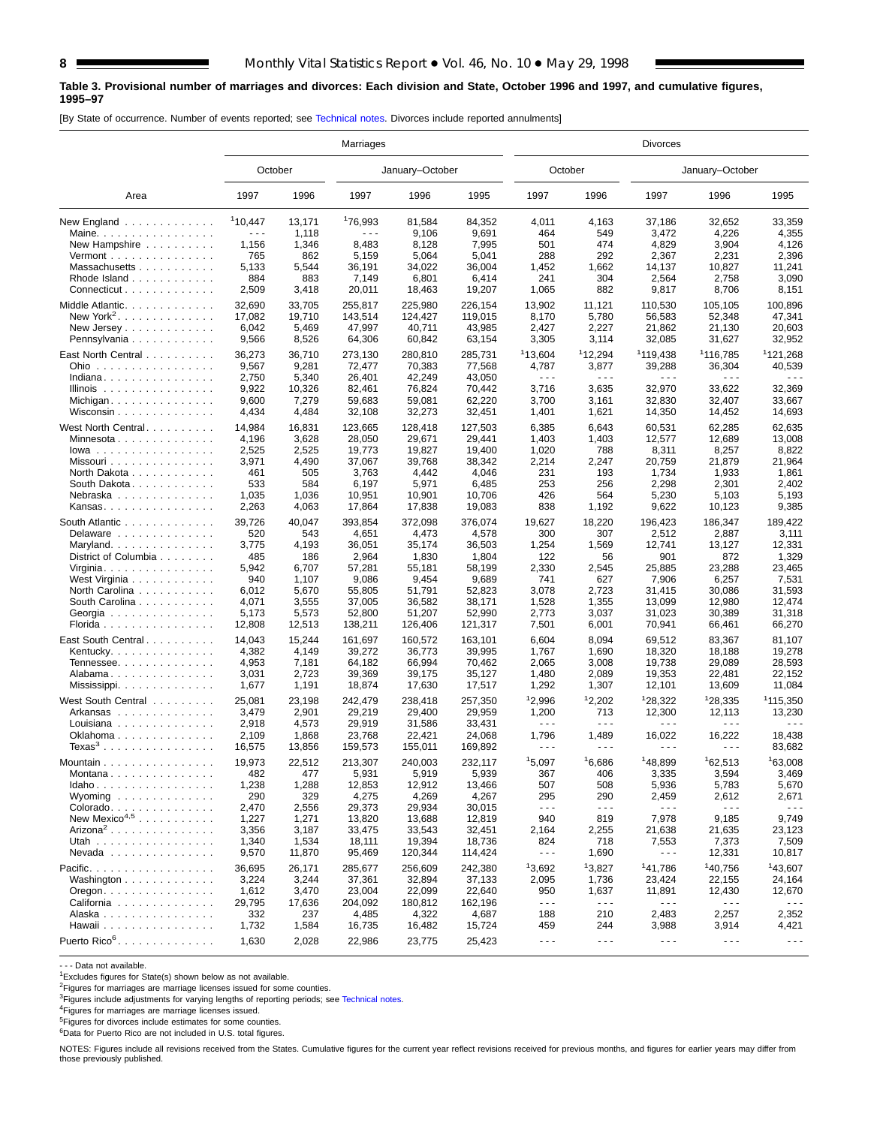# **Table 3. Provisional number of marriages and divorces: Each division and State, October 1996 and 1997, and cumulative figures, 1995–97**

[By State of occurrence. Number of events reported; see [Technical notes. Di](#page-16-0)vorces include reported annulments]

|                                                   | Marriages            |                 |                      |                   | <b>Divorces</b>   |                                                                                                                                                                                                                                                                                                                                                                                              |                      |                     |                      |                               |  |
|---------------------------------------------------|----------------------|-----------------|----------------------|-------------------|-------------------|----------------------------------------------------------------------------------------------------------------------------------------------------------------------------------------------------------------------------------------------------------------------------------------------------------------------------------------------------------------------------------------------|----------------------|---------------------|----------------------|-------------------------------|--|
|                                                   |                      | October         |                      | January-October   |                   | October                                                                                                                                                                                                                                                                                                                                                                                      |                      |                     | January-October      |                               |  |
| Area                                              | 1997                 | 1996            | 1997                 | 1996              | 1995              | 1997                                                                                                                                                                                                                                                                                                                                                                                         | 1996                 | 1997                | 1996                 | 1995                          |  |
| New England                                       | <sup>1</sup> 10,447  | 13,171          | 176,993              | 81,584            | 84,352            | 4,011                                                                                                                                                                                                                                                                                                                                                                                        | 4,163                | 37,186              | 32,652               | 33,359                        |  |
| Maine.                                            | $\sim$ $\sim$ $\sim$ | 1,118           | $\sim$ $\sim$ $\sim$ | 9,106             | 9,691             | 464                                                                                                                                                                                                                                                                                                                                                                                          | 549                  | 3,472               | 4,226                | 4,355                         |  |
| New Hampshire                                     | 1,156                | 1,346           | 8,483                | 8,128             | 7,995             | 501                                                                                                                                                                                                                                                                                                                                                                                          | 474                  | 4,829               | 3,904                | 4,126                         |  |
| Vermont $\ldots$ , $\ldots$ , $\ldots$ , $\ldots$ | 765                  | 862             | 5,159                | 5,064             | 5,041             | 288                                                                                                                                                                                                                                                                                                                                                                                          | 292                  | 2,367               | 2,231                | 2,396                         |  |
| Massachusetts                                     | 5,133                | 5,544           | 36,191               | 34,022            | 36,004            | 1,452                                                                                                                                                                                                                                                                                                                                                                                        | 1,662                | 14,137              | 10,827               | 11,241                        |  |
| Rhode Island                                      | 884                  | 883             | 7,149                | 6,801             | 6,414             | 241                                                                                                                                                                                                                                                                                                                                                                                          | 304                  | 2,564               | 2,758                | 3,090                         |  |
| Connecticut                                       | 2,509                | 3,418           | 20,011               | 18,463            | 19,207            | 1,065                                                                                                                                                                                                                                                                                                                                                                                        | 882                  | 9,817               | 8,706                | 8,151                         |  |
| Middle Atlantic.                                  | 32.690               | 33,705          | 255,817              | 225,980           | 226,154           | 13,902                                                                                                                                                                                                                                                                                                                                                                                       | 11,121               | 110,530             | 105,105              | 100,896                       |  |
| New York <sup>2</sup> .                           | 17,082               | 19,710          | 143,514              | 124,427           | 119,015           | 8,170                                                                                                                                                                                                                                                                                                                                                                                        | 5,780                | 56,583              | 52,348               | 47,341                        |  |
| New Jersey                                        | 6,042                | 5,469           | 47,997               | 40,711            | 43,985            | 2,427                                                                                                                                                                                                                                                                                                                                                                                        | 2,227                | 21,862              | 21,130               | 20,603                        |  |
| Pennsylvania                                      | 9,566                | 8,526           | 64,306               | 60,842            | 63,154            | 3,305                                                                                                                                                                                                                                                                                                                                                                                        | 3,114                | 32,085              | 31,627               | 32,952                        |  |
| East North Central                                | 36,273               | 36,710          | 273,130              | 280,810           | 285,731           | <sup>1</sup> 13,604                                                                                                                                                                                                                                                                                                                                                                          | 112,294              | 1119,438            | <sup>1</sup> 116,785 | <sup>1</sup> 121,268          |  |
| Ohio                                              | 9,567                | 9,281           | 72,477               | 70,383            | 77,568            | 4,787                                                                                                                                                                                                                                                                                                                                                                                        | 3,877                | 39,288              | 36,304               | 40,539                        |  |
| Indiana                                           | 2,750                | 5,340           | 26,401               | 42,249            | 43,050            | $\sim$ $\sim$ $\sim$                                                                                                                                                                                                                                                                                                                                                                         | $\sim$ $\sim$ $\sim$ | .                   | .                    |                               |  |
| Illinois $\dots \dots \dots \dots \dots$          | 9,922                | 10,326          | 82,461               | 76,824            | 70,442            | 3,716                                                                                                                                                                                                                                                                                                                                                                                        | 3,635                | 32,970              | 33,622               | 32,369                        |  |
| Michigan                                          | 9,600                | 7,279           | 59,683               | 59,081            | 62,220            | 3,700                                                                                                                                                                                                                                                                                                                                                                                        | 3,161                | 32,830              | 32,407               | 33,667                        |  |
| Wisconsin $\ldots$                                | 4,434                | 4,484           | 32,108               | 32,273            | 32,451            | 1,401                                                                                                                                                                                                                                                                                                                                                                                        | 1,621                | 14,350              | 14,452               | 14,693                        |  |
| West North Central                                | 14,984               | 16,831          | 123,665              | 128,418           | 127,503           | 6,385                                                                                                                                                                                                                                                                                                                                                                                        | 6,643                | 60,531              | 62,285               | 62.635                        |  |
|                                                   | 4,196                | 3,628           | 28,050               | 29,671            | 29,441            | 1,403                                                                                                                                                                                                                                                                                                                                                                                        | 1,403                | 12,577              | 12,689               | 13,008                        |  |
| $Iowa$                                            | 2,525                | 2,525           | 19,773               | 19,827            | 19,400            | 1,020                                                                                                                                                                                                                                                                                                                                                                                        | 788                  | 8,311               | 8,257                | 8,822                         |  |
| Missouri                                          | 3,971                | 4,490           | 37,067               | 39.768            | 38,342            | 2,214                                                                                                                                                                                                                                                                                                                                                                                        | 2,247                | 20.759              | 21,879               | 21.964                        |  |
| North Dakota                                      | 461                  | 505             | 3,763                | 4,442             | 4,046             | 231                                                                                                                                                                                                                                                                                                                                                                                          | 193                  | 1,734               | 1,933                | 1,861                         |  |
| South Dakota.                                     | 533                  | 584             | 6,197                | 5,971             | 6,485             | 253                                                                                                                                                                                                                                                                                                                                                                                          | 256                  | 2,298               | 2,301                | 2,402                         |  |
| Nebraska                                          | 1,035                | 1,036           | 10,951               | 10,901            | 10,706            | 426                                                                                                                                                                                                                                                                                                                                                                                          | 564                  | 5,230               | 5,103                | 5,193                         |  |
| Kansas                                            | 2,263                | 4,063           | 17,864               | 17,838            | 19,083            | 838                                                                                                                                                                                                                                                                                                                                                                                          | 1,192                | 9,622               | 10,123               | 9,385                         |  |
| South Atlantic                                    | 39,726               | 40,047          | 393,854              | 372,098           | 376,074           | 19,627                                                                                                                                                                                                                                                                                                                                                                                       | 18,220               | 196,423             | 186,347              | 189,422                       |  |
| Delaware                                          | 520                  | 543             | 4,651                | 4,473             | 4,578             | 300                                                                                                                                                                                                                                                                                                                                                                                          | 307                  | 2,512               | 2,887                | 3,111                         |  |
| Maryland                                          | 3,775                | 4,193           | 36,051               | 35,174            | 36,503            | 1,254                                                                                                                                                                                                                                                                                                                                                                                        | 1,569                | 12,741              | 13,127               | 12,331                        |  |
| District of Columbia                              | 485                  | 186             | 2,964                | 1,830             | 1,804             | 122                                                                                                                                                                                                                                                                                                                                                                                          | 56                   | 901                 | 872                  | 1,329                         |  |
| Virginia                                          | 5,942                | 6,707           | 57,281               | 55,181            | 58,199            | 2,330                                                                                                                                                                                                                                                                                                                                                                                        | 2,545                | 25,885              | 23,288               | 23,465                        |  |
| West Virginia                                     | 940                  | 1,107           | 9,086                | 9,454             | 9,689             | 741                                                                                                                                                                                                                                                                                                                                                                                          | 627                  | 7,906               | 6,257                | 7,531                         |  |
| North Carolina                                    | 6,012                | 5,670           | 55,805               | 51,791            | 52,823            | 3,078                                                                                                                                                                                                                                                                                                                                                                                        | 2,723                | 31,415              | 30,086               | 31,593                        |  |
| South Carolina                                    | 4,071                | 3,555           | 37,005               | 36,582            | 38,171            | 1,528                                                                                                                                                                                                                                                                                                                                                                                        | 1,355                | 13,099              | 12,980               | 12,474                        |  |
| Georgia                                           | 5,173                | 5,573           | 52,800               | 51,207            | 52,990            | 2,773                                                                                                                                                                                                                                                                                                                                                                                        | 3,037                | 31,023              | 30,389               | 31,318                        |  |
| Florida                                           | 12,808               | 12,513          | 138,211              | 126,406           | 121,317           | 7,501                                                                                                                                                                                                                                                                                                                                                                                        | 6,001                | 70,941              | 66,461               | 66,270                        |  |
| East South Central                                | 14,043               | 15,244          | 161,697              | 160,572           | 163,101           | 6,604                                                                                                                                                                                                                                                                                                                                                                                        | 8,094                | 69,512              | 83,367               | 81,107                        |  |
| Kentucky.                                         | 4,382                | 4,149           | 39,272               | 36,773            | 39,995            | 1,767                                                                                                                                                                                                                                                                                                                                                                                        | 1,690                | 18,320              | 18,188               | 19,278                        |  |
| Tennessee                                         | 4,953                | 7,181           | 64,182               | 66,994            | 70,462            | 2,065                                                                                                                                                                                                                                                                                                                                                                                        | 3,008                | 19,738              | 29,089               | 28,593                        |  |
| Alabama                                           | 3,031                | 2,723           | 39,369               | 39,175            | 35,127            | 1,480                                                                                                                                                                                                                                                                                                                                                                                        | 2,089                | 19,353              | 22,481               | 22,152                        |  |
|                                                   | 1,677                | 1,191           | 18,874               | 17,630            | 17,517            | 1,292                                                                                                                                                                                                                                                                                                                                                                                        | 1,307                | 12,101              | 13,609               | 11,084                        |  |
| West South Central                                | 25,081               | 23,198          | 242,479              | 238,418           | 257,350           | <sup>1</sup> 2,996                                                                                                                                                                                                                                                                                                                                                                           | 12,202               | 128,322             | <sup>1</sup> 28,335  | 115.350                       |  |
| Arkansas                                          | 3,479                | 2,901           | 29,219               | 29,400            | 29,959            | 1,200                                                                                                                                                                                                                                                                                                                                                                                        | 713                  | 12,300              | 12,113               | 13,230                        |  |
| Louisiana                                         | 2,918                | 4,573           | 29,919               | 31,586            | 33,431            | $\sim$ $\sim$ $\sim$                                                                                                                                                                                                                                                                                                                                                                         | $\sim$ $\sim$ $\sim$ | .                   | $\sim$ $\sim$ $\sim$ |                               |  |
| Oklahoma                                          | 2,109                | 1,868           | 23,768               | 22,421            | 24,068            | 1,796                                                                                                                                                                                                                                                                                                                                                                                        | 1,489                | 16,022              | 16,222               | 18,438                        |  |
| $Texas3$                                          | 16,575               | 13,856          | 159,573              | 155,011           | 169,892           | .                                                                                                                                                                                                                                                                                                                                                                                            | .                    | .                   | .                    | 83,682                        |  |
|                                                   | 19,973               | 22,512          | 213,307              | 240,003           | 232,117           | 15,097                                                                                                                                                                                                                                                                                                                                                                                       | 16,686               | <sup>1</sup> 48,899 | 162,513              | 163,008                       |  |
| Mountain                                          |                      |                 |                      |                   |                   |                                                                                                                                                                                                                                                                                                                                                                                              |                      |                     |                      |                               |  |
| Montana<br>Idaho                                  | 482<br>1,238         | 477<br>1,288    | 5,931<br>12,853      | 5,919<br>12,912   | 5,939<br>13,466   | 367<br>507                                                                                                                                                                                                                                                                                                                                                                                   | 406<br>508           | 3,335<br>5,936      | 3,594<br>5,783       | 3,469<br>5,670                |  |
| Wyoming $\ldots \ldots \ldots \ldots$             | 290                  | 329             | 4,275                | 4,269             | 4,267             | 295                                                                                                                                                                                                                                                                                                                                                                                          | 290                  | 2,459               | 2,612                | 2,671                         |  |
| Colorado                                          | 2,470                | 2,556           | 29,373               | 29,934            | 30,015            | $\sim$ $\sim$ $\sim$                                                                                                                                                                                                                                                                                                                                                                         | $- - -$              | $- - -$             | ---                  | $\sim$ $\sim$ $\sim$          |  |
| New Mexico <sup>4,5</sup>                         | 1,227                | 1,271           | 13,820               | 13,688            | 12,819            | 940                                                                                                                                                                                                                                                                                                                                                                                          | 819                  | 7,978               | 9,185                | 9,749                         |  |
| $Arizona2$                                        | 3,356                | 3,187           | 33,475               | 33,543            | 32,451            | 2,164                                                                                                                                                                                                                                                                                                                                                                                        | 2,255                | 21,638              | 21,635               | 23,123                        |  |
| Utah                                              | 1,340                | 1,534           | 18,111               | 19,394            | 18,736            | 824                                                                                                                                                                                                                                                                                                                                                                                          | 718                  | 7,553               | 7,373                | 7,509                         |  |
| $N$ evada                                         | 9,570                | 11,870          | 95,469               | 120,344           | 114,424           | $\frac{1}{2} \frac{1}{2} \frac{1}{2} \frac{1}{2} \frac{1}{2} \frac{1}{2} \frac{1}{2} \frac{1}{2} \frac{1}{2} \frac{1}{2} \frac{1}{2} \frac{1}{2} \frac{1}{2} \frac{1}{2} \frac{1}{2} \frac{1}{2} \frac{1}{2} \frac{1}{2} \frac{1}{2} \frac{1}{2} \frac{1}{2} \frac{1}{2} \frac{1}{2} \frac{1}{2} \frac{1}{2} \frac{1}{2} \frac{1}{2} \frac{1}{2} \frac{1}{2} \frac{1}{2} \frac{1}{2} \frac{$ | 1,690                | - - -               | 12,331               | 10,817                        |  |
|                                                   |                      |                 |                      |                   |                   | 13,692                                                                                                                                                                                                                                                                                                                                                                                       | 13,827               |                     |                      |                               |  |
| Pacific.<br>Washington                            | 36,695<br>3,224      | 26,171<br>3,244 | 285,677<br>37,361    | 256,609<br>32,894 | 242,380<br>37,133 | 2,095                                                                                                                                                                                                                                                                                                                                                                                        | 1,736                | 141,786<br>23,424   | 140,756<br>22,155    | <sup>1</sup> 43,607<br>24,164 |  |
|                                                   | 1,612                | 3,470           | 23,004               | 22,099            | 22,640            | 950                                                                                                                                                                                                                                                                                                                                                                                          | 1,637                | 11,891              | 12,430               | 12,670                        |  |
| $O$ regon. $\ldots$ .                             |                      | 17,636          | 204,092              |                   | 162,196           | $\sim$ $\sim$ $\sim$                                                                                                                                                                                                                                                                                                                                                                         | $- - -$              | $- - -$             | $\sim$ $\sim$ $\sim$ | $\sim$ $\sim$ $\sim$          |  |
| California<br>Alaska                              | 29,795<br>332        | 237             | 4,485                | 180,812<br>4,322  | 4,687             | 188                                                                                                                                                                                                                                                                                                                                                                                          | 210                  | 2,483               | 2,257                | 2,352                         |  |
| Hawaii                                            | 1,732                | 1,584           | 16,735               | 16,482            | 15,724            | 459                                                                                                                                                                                                                                                                                                                                                                                          | 244                  | 3,988               | 3,914                | 4,421                         |  |
|                                                   |                      |                 |                      |                   |                   |                                                                                                                                                                                                                                                                                                                                                                                              |                      |                     |                      |                               |  |
| Puerto Rico <sup>6</sup> .                        | 1,630                | 2,028           | 22,986               | 23,775            | 25,423            | $\sim$ $\sim$ $\sim$                                                                                                                                                                                                                                                                                                                                                                         | $\sim$ $\sim$ $\sim$ | $- - -$             | $\sim$ $\sim$ $\sim$ | $\sim$ $\sim$ $\sim$          |  |

- - - Data not available.

<sup>1</sup>Excludes figures for State(s) shown below as not available.

<sup>2</sup>Figures for marriages are marriage licenses issued for some counties.<br><sup>3</sup>Figures include adjustments for varying lengths of reporting periods; see [Technical notes.](#page-16-0)

4Figures for marriages are marriage licenses issued.

 $5$ Figures for divorces include estimates for some counties.

6Data for Puerto Rico are not included in U.S. total figures.

NOTES: Figures include all revisions received from the States. Cumulative figures for the current year reflect revisions received for previous months, and figures for earlier years may differ from those previously published.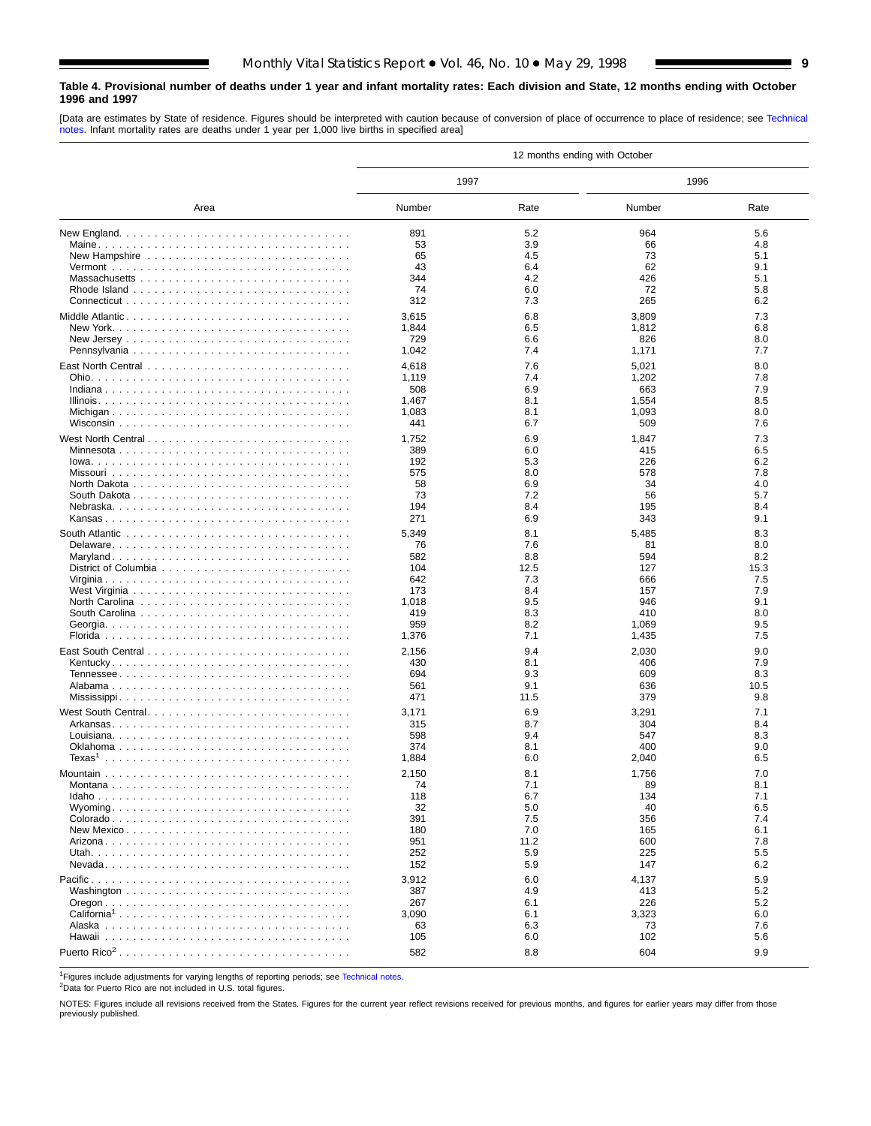# <span id="page-8-0"></span>**Table 4. Provisional number of deaths under 1 year and infant mortality rates: Each division and State, 12 months ending with October 1996 and 1997**

[Data are estimates by State of residence. Figures should be interpreted with caution because of conversion of place of occurrence to place of residence; see [Technical](#page-16-0) [notes. I](#page-16-0)nfant mortality rates are deaths under 1 year per 1,000 live births in specified area]

|                          |              |            | 12 months ending with October |            |
|--------------------------|--------------|------------|-------------------------------|------------|
|                          | 1997         |            | 1996                          |            |
| Area                     | Number       | Rate       | Number                        | Rate       |
|                          | 891          | 5.2        | 964                           | 5.6        |
|                          | 53           | 3.9        | 66                            | 4.8        |
|                          | 65           | 4.5        | 73                            | 5.1        |
|                          | 43           | 6.4        | 62                            | 9.1        |
|                          | 344          | 4.2        | 426                           | 5.1        |
|                          | 74           | 6.0        | 72                            | 5.8        |
|                          | 312          | 7.3        | 265                           | 6.2        |
| Middle Atlantic          | 3,615        | 6.8        | 3,809                         | 7.3        |
|                          | 1,844        | 6.5        | 1,812                         | 6.8        |
|                          | 729          | 6.6        | 826                           | 8.0        |
|                          | 1,042        | 7.4        | 1,171                         | 7.7        |
|                          | 4,618        | 7.6        | 5,021                         | 8.0        |
|                          | 1,119        | 7.4        | 1,202                         | 7.8        |
|                          | 508          | 6.9        | 663                           | 7.9        |
|                          | 1,467        | 8.1        | 1,554                         | 8.5        |
|                          | 1,083<br>441 | 8.1<br>6.7 | 1,093<br>509                  | 8.0<br>7.6 |
|                          |              |            |                               |            |
| West North Central       | 1,752        | 6.9        | 1,847                         | 7.3        |
|                          | 389          | 6.0        | 415                           | 6.5        |
|                          | 192          | 5.3        | 226                           | 6.2<br>7.8 |
|                          | 575<br>58    | 8.0<br>6.9 | 578<br>34                     | 4.0        |
|                          | 73           | 7.2        | 56                            | 5.7        |
|                          | 194          | 8.4        | 195                           | 8.4        |
|                          | 271          | 6.9        | 343                           | 9.1        |
|                          | 5,349        | 8.1        |                               | 8.3        |
|                          | 76           | 7.6        | 5,485<br>81                   | 8.0        |
|                          | 582          | 8.8        | 594                           | 8.2        |
|                          | 104          | 12.5       | 127                           | 15.3       |
|                          | 642          | 7.3        | 666                           | 7.5        |
|                          | 173          | 8.4        | 157                           | 7.9        |
|                          | 1,018        | 9.5        | 946                           | 9.1        |
|                          | 419          | 8.3        | 410                           | 8.0        |
|                          | 959          | 8.2        | 1,069                         | 9.5        |
|                          | 1,376        | 7.1        | 1,435                         | 7.5        |
|                          | 2,156        | 9.4        | 2,030                         | 9.0        |
|                          | 430          | 8.1        | 406                           | 7.9        |
|                          | 694          | 9.3        | 609                           | 8.3        |
|                          | 561          | 9.1        | 636                           | 10.5       |
|                          | 471          | 11.5       | 379                           | 9.8        |
| West South Central       | 3,171        | 6.9        | 3,291                         | 7.1        |
|                          | 315          | 8.7        | 304                           | 8.4        |
|                          | 598          | 9.4        | 547                           | 8.3        |
|                          | 374          | 8.1        | 400                           | 9.0        |
|                          | 1,884        | 6.0        | 2,040                         | 6.5        |
|                          | 2,150        | 8.1        | 1,756                         | 7.0        |
|                          | 74           | 7.1        | ୪୨                            | 8.1        |
|                          | 118          | 6.7        | 134                           | 7.1        |
|                          | 32<br>391    | 5.0        | 40                            | 6.5<br>7.4 |
|                          | 180          | 7.5<br>7.0 | 356<br>165                    | 6.1        |
|                          | 951          | 11.2       | 600                           | 7.8        |
|                          | 252          | 5.9        | 225                           | 5.5        |
|                          | 152          | 5.9        | 147                           | 6.2        |
|                          | 3,912        | 6.0        | 4,137                         | 5.9        |
|                          | 387          | 4.9        | 413                           | 5.2        |
|                          | 267          | 6.1        | 226                           | 5.2        |
| California <sup>1</sup>  | 3,090        | 6.1        | 3,323                         | 6.0        |
|                          | 63           | 6.3        | 73                            | 7.6        |
|                          | 105          | 6.0        | 102                           | 5.6        |
| Puerto Rico <sup>2</sup> | 582          | 8.8        | 604                           | 9.9        |
|                          |              |            |                               |            |

<sup>1</sup>Figures include adjustments for varying lengths of reporting periods; see [Technical notes.](#page-16-0)

2Data for Puerto Rico are not included in U.S. total figures.

NOTES: Figures include all revisions received from the States. Figures for the current year reflect revisions received for previous months, and figures for earlier years may differ from those previously published.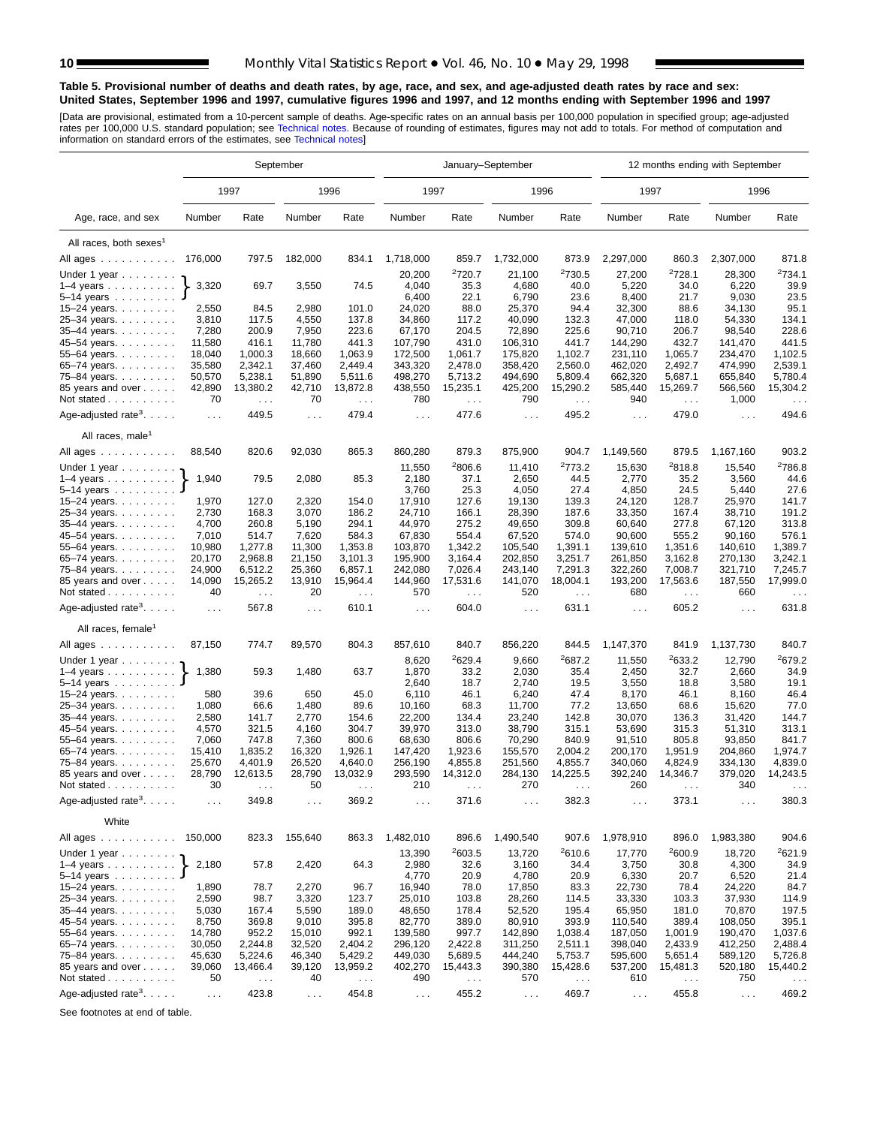### <span id="page-9-0"></span>**Table 5. Provisional number of deaths and death rates, by age, race, and sex, and age-adjusted death rates by race and sex: United States, September 1996 and 1997, cumulative figures 1996 and 1997, and 12 months ending with September 1996 and 1997**

[Data are provisional, estimated from a 10-percent sample of deaths. Age-specific rates on an annual basis per 100,000 population in specified group; age-adjusted<br>rates per 100,000 U.S. standard population; see Technical n

|                                                          |                  |                               | September            |                               | January-September    |                                 |                      |                        |                      |                             | 12 months ending with September |                               |
|----------------------------------------------------------|------------------|-------------------------------|----------------------|-------------------------------|----------------------|---------------------------------|----------------------|------------------------|----------------------|-----------------------------|---------------------------------|-------------------------------|
|                                                          |                  | 1997                          |                      | 1996                          | 1997                 |                                 | 1996                 |                        | 1997                 |                             | 1996                            |                               |
| Age, race, and sex                                       | Number           | Rate                          | Number               | Rate                          | Number               | Rate                            | Number               | Rate                   | Number               | Rate                        | Number                          | Rate                          |
| All races, both sexes <sup>1</sup>                       |                  |                               |                      |                               |                      |                                 |                      |                        |                      |                             |                                 |                               |
| All ages                                                 | 176,000          | 797.5                         | 182,000              | 834.1                         | 1,718,000            | 859.7                           | 1,732,000            | 873.9                  | 2,297,000            | 860.3                       | 2,307,000                       | 871.8                         |
|                                                          |                  |                               |                      |                               |                      | 2720.7                          |                      | <sup>2</sup> 730.5     |                      | 2728.1                      |                                 | 2734.1                        |
| Under 1 year<br>$1-4$ years $\ldots$ $\ldots$ $\ldots$ . | 3,320            | 69.7                          | 3,550                | 74.5                          | 20,200<br>4,040      | 35.3                            | 21,100<br>4,680      | 40.0                   | 27,200<br>5,220      | 34.0                        | 28,300<br>6,220                 | 39.9                          |
| 5–14 years $\ldots$                                      |                  |                               |                      |                               | 6,400                | 22.1                            | 6,790                | 23.6                   | 8,400                | 21.7                        | 9,030                           | 23.5                          |
| 15-24 years.                                             | 2,550            | 84.5                          | 2,980                | 101.0                         | 24,020               | 88.0                            | 25,370               | 94.4                   | 32,300               | 88.6                        | 34,130                          | 95.1                          |
| 25-34 years.                                             | 3,810            | 117.5                         | 4,550                | 137.8                         | 34,860               | 117.2                           | 40,090               | 132.3                  | 47,000               | 118.0                       | 54,330                          | 134.1                         |
| 35-44 years.                                             | 7,280            | 200.9                         | 7,950                | 223.6                         | 67,170               | 204.5                           | 72,890               | 225.6                  | 90,710               | 206.7                       | 98,540                          | 228.6                         |
| 45-54 years.                                             | 11,580           | 416.1                         | 11,780               | 441.3                         | 107,790              | 431.0                           | 106,310              | 441.7                  | 144,290              | 432.7                       | 141,470                         | 441.5                         |
| 55-64 years.                                             | 18,040           | 1,000.3                       | 18,660               | 1,063.9                       | 172,500              | 1,061.7                         | 175,820              | 1,102.7                | 231,110              | 1,065.7                     | 234,470                         | 1,102.5                       |
| 65-74 years.                                             | 35,580           | 2,342.1                       | 37,460               | 2,449.4                       | 343,320              | 2,478.0                         | 358,420              | 2,560.0                | 462,020              | 2,492.7                     | 474,990                         | 2,539.1                       |
| 75-84 years.                                             | 50,570           | 5,238.1                       | 51,890               | 5,511.6                       | 498,270              | 5,713.2                         | 494,690              | 5,809.4                | 662,320              | 5,687.1                     | 655,840                         | 5,780.4                       |
| 85 years and over                                        | 42,890           | 13,380.2                      | 42,710               | 13,872.8                      | 438,550              | 15,235.1                        | 425,200              | 15,290.2               | 585,440              | 15,269.7                    | 566,560                         | 15,304.2                      |
| Not stated $\ldots$                                      | 70               | $\ldots$                      | 70                   | $\ldots$                      | 780                  | $\ldots$                        | 790                  | $\sim$ $\sim$          | 940                  | $\cdots$                    | 1,000                           | $\sim$ $\sim$ $\sim$          |
| Age-adjusted rate <sup>3</sup> . $\ldots$ .              | $\sim 100$       | 449.5                         | $\ldots$             | 479.4                         | $\cdots$             | 477.6                           | $\sim 100$           | 495.2                  | $\sim 100$           | 479.0                       | $\sim 10$                       | 494.6                         |
| All races, male <sup>1</sup>                             |                  |                               |                      |                               |                      |                                 |                      |                        |                      |                             |                                 |                               |
| All ages                                                 | 88.540           | 820.6                         | 92,030               | 865.3                         | 860,280              | 879.3                           | 875,900              | 904.7                  | 1,149,560            | 879.5                       | 1,167,160                       | 903.2                         |
| Under 1 year $\ldots \ldots$                             |                  |                               |                      |                               | 11,550               | 2806.6                          | 11,410               | 2773.2                 | 15,630               | 2818.8                      | 15,540                          | <sup>2</sup> 786.8            |
| $1-4$ years                                              | 1,940            | 79.5                          | 2,080                | 85.3                          | 2,180                | 37.1                            | 2,650                | 44.5                   | 2,770                | 35.2                        | 3,560                           | 44.6                          |
| 5-14 years                                               |                  |                               |                      |                               | 3,760                | 25.3                            | 4,050                | 27.4                   | 4,850                | 24.5                        | 5,440                           | 27.6                          |
| 15–24 years. $\ldots$                                    | 1,970            | 127.0                         | 2,320                | 154.0                         | 17,910               | 127.6                           | 19,130               | 139.3                  | 24,120               | 128.7                       | 25,970                          | 141.7                         |
| 25-34 years.                                             | 2,730            | 168.3                         | 3,070                | 186.2                         | 24,710               | 166.1                           | 28,390               | 187.6                  | 33,350               | 167.4                       | 38,710                          | 191.2                         |
| 35-44 years.                                             | 4,700            | 260.8                         | 5,190                | 294.1                         | 44,970               | 275.2                           | 49,650               | 309.8                  | 60,640               | 277.8                       | 67,120                          | 313.8                         |
| 45–54 years                                              | 7,010            | 514.7                         | 7,620                | 584.3                         | 67,830               | 554.4                           | 67,520               | 574.0                  | 90,600               | 555.2                       | 90,160                          | 576.1                         |
| 55-64 years.                                             | 10,980           | 1,277.8                       | 11,300               | 1,353.8                       | 103,870              | 1,342.2                         | 105,540              | 1,391.1                | 139,610              | 1,351.6                     | 140,610                         | 1,389.7                       |
| 65-74 years.                                             | 20,170           | 2,968.8                       | 21,150               | 3,101.3                       | 195,900              | 3,164.4                         | 202,850              | 3,251.7                | 261,850              | 3,162.8                     | 270,130                         | 3,242.1                       |
| 75-84 years.                                             | 24,900<br>14,090 | 6,512.2<br>15,265.2           | 25,360<br>13,910     | 6,857.1<br>15,964.4           | 242,080              | 7,026.4<br>17,531.6             | 243,140              | 7,291.3<br>18,004.1    | 322,260              | 7,008.7<br>17,563.6         | 321,710                         | 7,245.7<br>17,999.0           |
| 85 years and over<br>Not stated                          | 40               |                               | 20                   |                               | 144,960<br>570       |                                 | 141,070<br>520       |                        | 193,200<br>680       |                             | 187,550<br>660                  |                               |
| Age-adjusted rate <sup>3</sup> . $\ldots$ .              | $\ldots$         | $\sim$ $\sim$ $\sim$<br>567.8 | $\ldots$             | $\sim$ $\sim$ $\sim$<br>610.1 | $\sim$ .             | $\sim$ $\sim$ $\sim$<br>604.0   | $\ldots$             | $\sim$ $\sim$<br>631.1 | $\ldots$             | $\sim$ .<br>605.2           | $\sim 10$                       | $\sim$ $\sim$ $\sim$<br>631.8 |
| All races, female <sup>1</sup>                           |                  |                               |                      |                               |                      |                                 |                      |                        |                      |                             |                                 |                               |
| All ages                                                 | 87,150           | 774.7                         | 89,570               | 804.3                         | 857,610              | 840.7                           | 856,220              | 844.5                  | 1,147,370            | 841.9                       | 1,137,730                       | 840.7                         |
|                                                          |                  |                               |                      |                               |                      |                                 |                      |                        |                      |                             |                                 |                               |
| Under 1 year                                             |                  |                               |                      |                               | 8,620                | 2629.4                          | 9,660                | 2687.2                 | 11,550               | 2633.2                      | 12,790                          | <sup>2</sup> 679.2            |
| $1-4$ years                                              | 1,380            | 59.3                          | 1,480                | 63.7                          | 1,870                | 33.2                            | 2,030                | 35.4                   | 2,450                | 32.7                        | 2,660                           | 34.9                          |
| 5-14 years<br>15-24 years.                               | 580              | 39.6                          | 650                  | 45.0                          | 2,640<br>6,110       | 18.7<br>46.1                    | 2,740<br>6,240       | 19.5<br>47.4           | 3,550<br>8,170       | 18.8<br>46.1                | 3,580<br>8,160                  | 19.1<br>46.4                  |
| 25-34 years.                                             | 1,080            | 66.6                          | 1,480                | 89.6                          | 10,160               | 68.3                            | 11,700               | 77.2                   | 13,650               | 68.6                        | 15,620                          | 77.0                          |
| 35-44 years.                                             | 2,580            | 141.7                         | 2,770                | 154.6                         | 22,200               | 134.4                           | 23,240               | 142.8                  | 30,070               | 136.3                       | 31,420                          | 144.7                         |
| 45-54 years.                                             | 4,570            | 321.5                         | 4,160                | 304.7                         | 39,970               | 313.0                           | 38,790               | 315.1                  | 53,690               | 315.3                       | 51,310                          | 313.1                         |
| 55-64 years.                                             | 7,060            | 747.8                         | 7,360                | 800.6                         | 68,630               | 806.6                           | 70,290               | 840.9                  | 91,510               | 805.8                       | 93,850                          | 841.7                         |
| 65-74 years.                                             | 15,410           | 1,835.2                       | 16,320               | 1,926.1                       | 147,420              | 1,923.6                         | 155,570              | 2,004.2                | 200,170              | 1,951.9                     | 204,860                         | 1,974.7                       |
| 75-84 years.                                             | 25.670           | 4,401.9                       | 26,520               | 4,640.0                       | 256,190              | 4,855.8                         | 251,560              | 4,855.7                | 340,060              | 4,824.9                     | 334,130                         | 4,839.0                       |
| 85 years and over                                        | 28,790           | 12,613.5                      | 28,790               | 13,032.9                      | 293,590              | 14,312.0                        | 284,130              | 14,225.5               | 392,240              | 14,346.7                    | 379,020                         | 14,243.5                      |
| Not stated $\ldots$                                      | 30               |                               | 50                   |                               | 210                  |                                 | 270                  |                        | 260                  |                             | 340                             |                               |
| Age-adjusted rate <sup>3</sup> .                         | $\cdots$         | 349.8                         | $\sim$ $\sim$ $\sim$ | 369.2                         | $\cdots$             | 371.6                           | $\sim$ $\sim$ $\sim$ | 382.3                  | $\sim$ $\sim$ $\sim$ | 373.1                       | $\sim$ $\sim$ $\sim$            | 380.3                         |
| White                                                    |                  |                               |                      |                               |                      |                                 |                      |                        |                      |                             |                                 |                               |
| All ages                                                 | 150,000          | 823.3                         | 155,640              | 863.3                         | 1,482,010            | 896.6<br><sup>2</sup> 603.5     | 1,490,540            | 907.6<br>2610.6        | 1,978,910            | 896.0<br><sup>2</sup> 600.9 | 1,983,380                       | 904.6                         |
| Under 1 year $\ldots \ldots$                             | 2,180            | 57.8                          | 2,420                | 64.3                          | 13,390<br>2,980      |                                 | 13,720               | 34.4                   | 17,770<br>3,750      | 30.8                        | 18,720<br>4,300                 | <sup>2</sup> 621.9<br>34.9    |
| $1-4$ years<br>5–14 years $\ldots$                       |                  |                               |                      |                               | 4,770                | 32.6<br>20.9                    | 3,160<br>4,780       | 20.9                   | 6,330                | 20.7                        | 6,520                           | 21.4                          |
| $15 - 24$ years.                                         | 1,890            | 78.7                          | 2,270                | 96.7                          | 16,940               | 78.0                            | 17,850               | 83.3                   | 22,730               | 78.4                        | 24,220                          | 84.7                          |
| 25-34 years.                                             | 2,590            | 98.7                          | 3,320                | 123.7                         | 25,010               | 103.8                           | 28,260               | 114.5                  | 33,330               | 103.3                       | 37,930                          | 114.9                         |
| 35-44 years.                                             | 5,030            | 167.4                         | 5,590                | 189.0                         | 48,650               | 178.4                           | 52,520               | 195.4                  | 65,950               | 181.0                       | 70,870                          | 197.5                         |
| 45-54 years.                                             | 8,750            | 369.8                         | 9,010                | 395.8                         | 82,770               | 389.0                           | 80,910               | 393.9                  | 110,540              | 389.4                       | 108,050                         | 395.1                         |
| 55-64 years.                                             | 14,780           | 952.2                         | 15,010               | 992.1                         | 139,580              | 997.7                           | 142,890              | 1,038.4                | 187,050              | 1,001.9                     | 190,470                         | 1,037.6                       |
| 65-74 years.                                             | 30,050           | 2,244.8                       | 32,520               | 2,404.2                       | 296,120              | 2,422.8                         | 311,250              | 2,511.1                | 398,040              | 2,433.9                     | 412,250                         | 2,488.4                       |
| 75-84 years.                                             | 45,630           | 5,224.6                       | 46,340               | 5,429.2                       | 449,030              | 5,689.5                         | 444,240              | 5,753.7                | 595,600              | 5,651.4                     | 589,120                         | 5,726.8                       |
| 85 years and over                                        | 39,060           | 13,466.4                      | 39,120               | 13,959.2                      | 402,270              | 15,443.3                        | 390,380              | 15,428.6               | 537,200              | 15,481.3                    | 520,180                         | 15,440.2                      |
| Not stated                                               | 50               | $\sim$ $\sim$                 | 40                   | $\sim$ $\sim$                 | 490                  | $\epsilon \rightarrow \epsilon$ | 570                  | $\sim$ $\sim$ $\sim$   | 610                  | $\sim$ $\sim$               | 750                             |                               |
| Age-adjusted rate <sup>3</sup> .                         | $\sim 100$       | 423.8                         | $\ldots$             | 454.8                         | $\sim$ $\sim$ $\sim$ | 455.2                           | $\sim 100$           | 469.7                  | $\sim 100$           | 455.8                       | $\sim$ $\sim$ $\sim$            | 469.2                         |

See footnotes at end of table.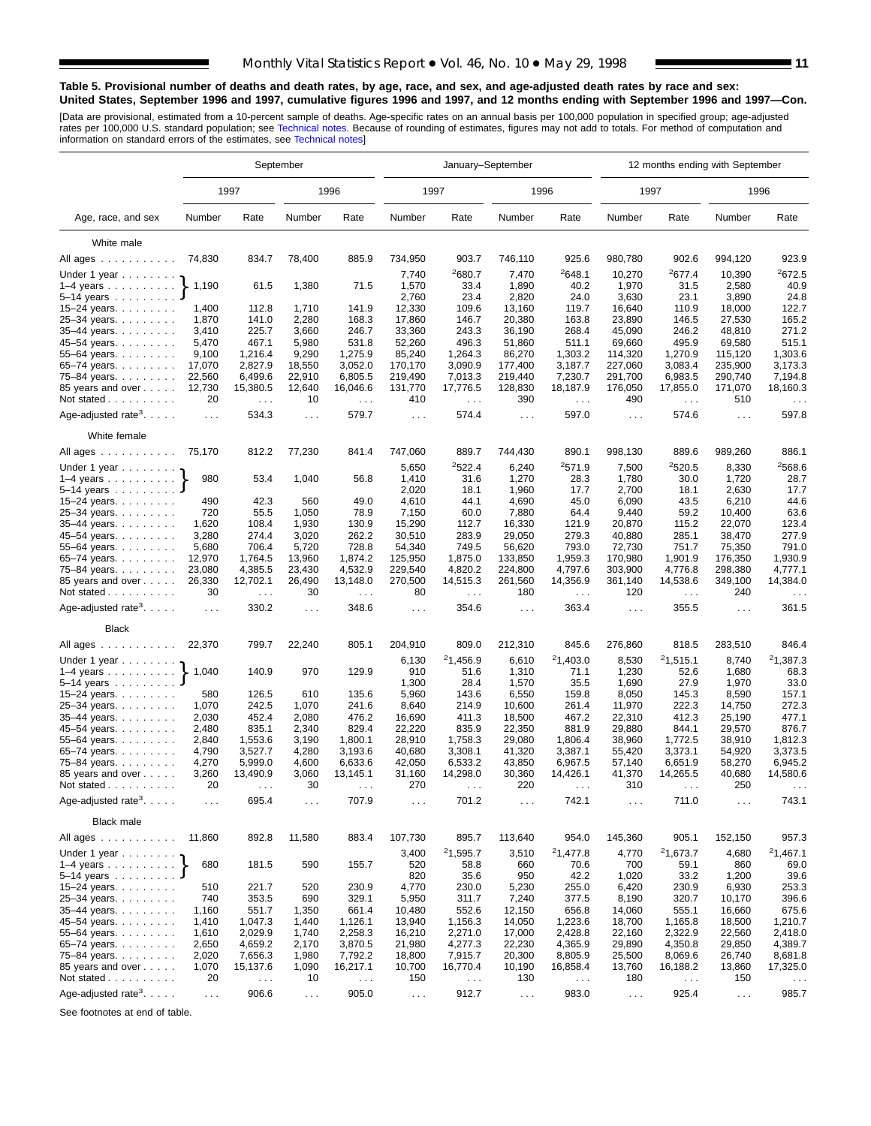### **Table 5. Provisional number of deaths and death rates, by age, race, and sex, and age-adjusted death rates by race and sex: United States, September 1996 and 1997, cumulative figures 1996 and 1997, and 12 months ending with September 1996 and 1997—Con.**

[Data are provisional, estimated from a 10-percent sample of deaths. Age-specific rates on an annual basis per 100,000 population in specified group; age-adjusted<br>rates per 100,000 U.S. standard population; see Technical n

|                                                          |               |                                  | September     |                                  |                      | January-September                |                      |                                  |                | 12 months ending with September |                 |                                  |
|----------------------------------------------------------|---------------|----------------------------------|---------------|----------------------------------|----------------------|----------------------------------|----------------------|----------------------------------|----------------|---------------------------------|-----------------|----------------------------------|
|                                                          |               | 1997                             |               | 1996                             | 1997                 |                                  | 1996                 |                                  |                | 1997                            |                 | 1996                             |
| Age, race, and sex                                       | Number        | Rate                             | Number        | Rate                             | Number               | Rate                             | Number               | Rate                             | Number         | Rate                            | Number          | Rate                             |
| White male                                               |               |                                  |               |                                  |                      |                                  |                      |                                  |                |                                 |                 |                                  |
| All ages                                                 | 74,830        | 834.7                            | 78,400        | 885.9                            | 734,950              | 903.7                            | 746,110              | 925.6                            | 980,780        | 902.6                           | 994,120         | 923.9                            |
|                                                          |               |                                  |               |                                  | 7,740                | <sup>2</sup> 680.7               | 7,470                | 2648.1                           | 10,270         | 2677.4                          | 10,390          | 2672.5                           |
| Under 1 year<br>$1-4$ years $\ldots$ $\ldots$ $\ldots$ . | 1,190         | 61.5                             | 1,380         | 71.5                             | 1,570                | 33.4                             | 1,890                | 40.2                             | 1,970          | 31.5                            | 2,580           | 40.9                             |
| $5 - 14$ years                                           |               |                                  |               |                                  | 2,760                | 23.4                             | 2,820                | 24.0                             | 3,630          | 23.1                            | 3,890           | 24.8                             |
| 15-24 years.                                             | 1,400         | 112.8                            | 1,710         | 141.9                            | 12,330               | 109.6                            | 13,160               | 119.7                            | 16,640         | 110.9                           | 18,000          | 122.7                            |
| 25-34 years.                                             | 1,870         | 141.0                            | 2,280         | 168.3                            | 17,860               | 146.7                            | 20,380               | 163.8                            | 23,890         | 146.5                           | 27,530          | 165.2                            |
| 35-44 years.                                             | 3,410         | 225.7                            | 3,660         | 246.7                            | 33,360               | 243.3                            | 36,190               | 268.4                            | 45,090         | 246.2                           | 48,810          | 271.2                            |
| 45-54 years.                                             | 5,470         | 467.1                            | 5,980         | 531.8                            | 52,260               | 496.3                            | 51,860               | 511.1                            | 69,660         | 495.9                           | 69,580          | 515.1                            |
| 55-64 years.                                             | 9,100         | 1,216.4                          | 9,290         | 1,275.9                          | 85,240               | 1,264.3                          | 86,270               | 1,303.2                          | 114,320        | 1,270.9                         | 115,120         | 1,303.6                          |
| 65-74 years                                              | 17,070        | 2,827.9                          | 18,550        | 3,052.0                          | 170,170              | 3,090.9                          | 177,400              | 3,187.7                          | 227,060        | 3,083.4                         | 235,900         | 3,173.3                          |
| 75-84 years.                                             | 22,560        | 6,499.6                          | 22,910        | 6,805.5                          | 219,490              | 7,013.3                          | 219,440              | 7,230.7                          | 291,700        | 6,983.5                         | 290,740         | 7,194.8                          |
| 85 years and over                                        | 12,730        | 15,380.5                         | 12,640        | 16,046.6                         | 131,770              | 17,776.5                         | 128,830              | 18,187.9                         | 176,050        | 17,855.0                        | 171,070         | 18,160.3                         |
| Not stated $\ldots$                                      | 20            | $\ldots$                         | 10            | $\sim$ .                         | 410                  | $\sim 100$                       | 390                  | $\sim$ $\sim$                    | 490            | $\cdots$                        | 510             | $\cdots$                         |
| Age-adjusted rate <sup>3</sup> . $\ldots$ .              | $\ldots$      | 534.3                            | $\ldots$      | 579.7                            | $\sim 100$           | 574.4                            | $\sim$ $\sim$        | 597.0                            | $\sim 100$     | 574.6                           | $\cdots$        | 597.8                            |
| White female                                             |               |                                  |               |                                  |                      |                                  |                      |                                  |                |                                 |                 |                                  |
| All ages                                                 | 75,170        | 812.2                            | 77,230        | 841.4                            | 747,060              | 889.7                            | 744,430              | 890.1                            | 998,130        | 889.6                           | 989,260         | 886.1                            |
| Under 1 year $\ldots \ldots$                             |               |                                  |               |                                  | 5,650                | 2522.4                           | 6,240                | 2571.9                           | 7,500          | 2520.5                          | 8,330           | <sup>2</sup> 568.6               |
| $1-4$ years                                              | 980           | 53.4                             | 1,040         | 56.8                             | 1,410<br>2,020       | 31.6<br>18.1                     | 1,270                | 28.3<br>17.7                     | 1,780<br>2,700 | 30.0<br>18.1                    | 1,720           | 28.7<br>17.7                     |
| 5-14 years<br>15-24 years.                               | 490           | 42.3                             | 560           | 49.0                             | 4,610                | 44.1                             | 1,960<br>4,690       | 45.0                             | 6,090          | 43.5                            | 2,630<br>6,210  | 44.6                             |
| 25-34 years.                                             | 720           | 55.5                             | 1,050         | 78.9                             | 7,150                | 60.0                             | 7,880                | 64.4                             | 9,440          | 59.2                            | 10,400          | 63.6                             |
| 35-44 years.                                             | 1,620         | 108.4                            | 1,930         | 130.9                            | 15,290               | 112.7                            | 16,330               | 121.9                            | 20,870         | 115.2                           | 22,070          | 123.4                            |
| 45–54 years                                              | 3,280         | 274.4                            | 3,020         | 262.2                            | 30,510               | 283.9                            | 29,050               | 279.3                            | 40,880         | 285.1                           | 38,470          | 277.9                            |
| 55-64 years.                                             | 5,680         | 706.4                            | 5,720         | 728.8                            | 54,340               | 749.5                            | 56,620               | 793.0                            | 72,730         | 751.7                           | 75,350          | 791.0                            |
| 65-74 years.                                             | 12,970        | 1,764.5                          | 13,960        | 1,874.2                          | 125,950              | 1,875.0                          | 133,850              | 1,959.3                          | 170,980        | 1,901.9                         | 176,350         | 1,930.9                          |
| 75-84 years.                                             | 23,080        | 4,385.5                          | 23,430        | 4,532.9                          | 229,540              | 4,820.2                          | 224,800              | 4,797.6                          | 303,900        | 4,776.8                         | 298,380         | 4,777.1                          |
| 85 years and over<br>Not stated                          | 26,330<br>30  | 12,702.1<br>$\sim$ $\sim$ $\sim$ | 26,490<br>30  | 13,148.0<br>$\sim$ $\sim$ $\sim$ | 270,500<br>80        | 14,515.3<br>$\sim$ $\sim$ $\sim$ | 261,560<br>180       | 14,356.9<br>$\sim$ $\sim$ $\sim$ | 361,140<br>120 | 14,538.6<br>$\sim$ .            | 349,100<br>240  | 14,384.0<br>$\sim$ $\sim$ $\sim$ |
| Age-adjusted rate <sup>3</sup> . $\ldots$ .              | $\ldots$      | 330.2                            | $\ldots$      | 348.6                            | $\sim$ $\sim$ $\sim$ | 354.6                            | $\sim 100$           | 363.4                            | $\ldots$       | 355.5                           | $\sim$ .        | 361.5                            |
| <b>Black</b>                                             |               |                                  |               |                                  |                      |                                  |                      |                                  |                |                                 |                 |                                  |
| All ages                                                 | 22,370        | 799.7                            | 22,240        | 805.1                            | 204,910              | 809.0                            | 212,310              | 845.6                            | 276,860        | 818.5                           | 283,510         | 846.4                            |
| Under 1 year                                             |               |                                  |               |                                  | 6,130                | 21,456.9                         | 6,610                | 21,403.0                         | 8,530          | 21,515.1                        | 8,740           | 21,387.3                         |
| $1-4$ years                                              | 1,040         | 140.9                            | 970           | 129.9                            | 910                  | 51.6                             | 1,310                | 71.1                             | 1,230          | 52.6                            | 1,680           | 68.3                             |
| 5–14 years $\ldots$<br>15-24 years.                      | 580           | 126.5                            | 610           | 135.6                            | 1,300<br>5,960       | 28.4<br>143.6                    | 1,570<br>6,550       | 35.5<br>159.8                    | 1,690<br>8,050 | 27.9<br>145.3                   | 1,970<br>8,590  | 33.0<br>157.1                    |
| 25-34 years.                                             | 1,070         | 242.5                            | 1,070         | 241.6                            | 8,640                | 214.9                            | 10,600               | 261.4                            | 11,970         | 222.3                           | 14,750          | 272.3                            |
| 35-44 years.                                             | 2,030         | 452.4                            | 2,080         | 476.2                            | 16,690               | 411.3                            | 18,500               | 467.2                            | 22,310         | 412.3                           | 25,190          | 477.1                            |
| 45–54 years                                              | 2,480         | 835.1                            | 2,340         | 829.4                            | 22,220               | 835.9                            | 22,350               | 881.9                            | 29,880         | 844.1                           | 29,570          | 876.7                            |
| 55-64 years.                                             | 2,840         | 1,553.6                          | 3,190         | 1,800.1                          | 28,910               | 1,758.3                          | 29,080               | 1,806.4                          | 38,960         | 1,772.5                         | 38,910          | 1,812.3                          |
| 65-74 years.                                             | 4,790         | 3,527.7                          | 4,280         | 3,193.6                          | 40,680               | 3,308.1                          | 41,320               | 3,387.1                          | 55,420         | 3,373.1                         | 54,920          | 3,373.5                          |
| 75-84 years.                                             | 4,270         | 5,999.0                          | 4,600         | 6,633.6                          | 42,050               | 6,533.2                          | 43,850               | 6,967.5                          | 57,140         | 6,651.9                         | 58,270          | 6,945.2                          |
| 85 years and over                                        | 3,260         | 13,490.9                         | 3,060         | 13,145.1                         | 31,160               | 14,298.0                         | 30,360               | 14,426.1                         | 41,370         | 14,265.5                        | 40,680          | 14,580.6                         |
| Not stated $\ldots$                                      | 20            |                                  | 30            |                                  | 270                  |                                  | 220                  |                                  | 310            |                                 | 250             |                                  |
| Age-adjusted rate <sup>3</sup> .                         | $\sim$ .      | 695.4                            | $\sim$ .      | 707.9                            | $\sim$ .             | 701.2                            | $\sim$ $\sim$ $\sim$ | 742.1                            | $\sim$ $\sim$  | 711.0                           | $\sim$ $\sim$   | 743.1                            |
| Black male                                               |               |                                  |               |                                  |                      |                                  |                      |                                  |                |                                 |                 |                                  |
| All ages                                                 | 11,860        | 892.8                            | 11,580        | 883.4                            | 107,730              | 895.7                            | 113,640              | 954.0                            | 145,360        | 905.1                           | 152,150         | 957.3                            |
| Under 1 year $\ldots \ldots$                             |               |                                  |               |                                  | 3,400                | 21,595.7                         | 3,510                | 21,477.8                         | 4,770          | <sup>2</sup> 1,673.7            | 4,680           | 21,467.1                         |
| $1-4$ years $\ldots$ $\ldots$ $\ldots$                   | 680           | 181.5                            | 590           | 155.7                            | 520                  | 58.8                             | 660                  | 70.6                             | 700            | 59.1                            | 860             | 69.0                             |
| 5–14 years $\ldots$<br>$15 - 24$ years.                  |               |                                  |               |                                  | 820                  | 35.6                             | 950                  | 42.2                             | 1,020          | 33.2                            | 1,200           | 39.6                             |
| 25-34 years.                                             | 510<br>740    | 221.7<br>353.5                   | 520<br>690    | 230.9<br>329.1                   | 4,770<br>5,950       | 230.0<br>311.7                   | 5,230<br>7,240       | 255.0<br>377.5                   | 6,420<br>8,190 | 230.9<br>320.7                  | 6,930<br>10,170 | 253.3<br>396.6                   |
| 35-44 years.                                             | 1,160         | 551.7                            | 1,350         | 661.4                            | 10,480               | 552.6                            | 12,150               | 656.8                            | 14,060         | 555.1                           | 16,660          | 675.6                            |
| 45-54 years.                                             | 1,410         | 1,047.3                          | 1,440         | 1,126.1                          | 13,940               | 1,156.3                          | 14,050               | 1,223.6                          | 18,700         | 1,165.8                         | 18,500          | 1,210.7                          |
| 55-64 years.                                             | 1,610         | 2,029.9                          | 1,740         | 2,258.3                          | 16,210               | 2,271.0                          | 17,000               | 2,428.8                          | 22,160         | 2,322.9                         | 22,560          | 2,418.0                          |
| 65-74 years.                                             | 2,650         | 4,659.2                          | 2,170         | 3,870.5                          | 21,980               | 4,277.3                          | 22,230               | 4,365.9                          | 29,890         | 4,350.8                         | 29,850          | 4,389.7                          |
| 75-84 years.                                             | 2,020         | 7,656.3                          | 1,980         | 7,792.2                          | 18,800               | 7,915.7                          | 20,300               | 8,805.9                          | 25,500         | 8,069.6                         | 26,740          | 8,681.8                          |
| 85 years and over                                        | 1,070         | 15,137.6                         | 1,090         | 16,217.1                         | 10,700               | 16,770.4                         | 10,190               | 16,858.4                         | 13,760         | 16,188.2                        | 13,860          | 17,325.0                         |
| Not stated                                               | 20            | $\sim$ $\sim$                    | 10            | $\sim$ $\sim$                    | 150                  | $\epsilon \sim 1$                | 130                  | $\sim$ $\sim$                    | 180            | $\sim$ $\sim$                   | 150             |                                  |
| Age-adjusted rate <sup>3</sup> .                         | $\sim$ $\sim$ | 906.6                            | $\sim$ $\sim$ | 905.0                            | $\sim 100$           | 912.7                            | $\sim 100$           | 983.0                            | $\sim 100$     | 925.4                           | $\sim$ $\sim$   | 985.7                            |

See footnotes at end of table.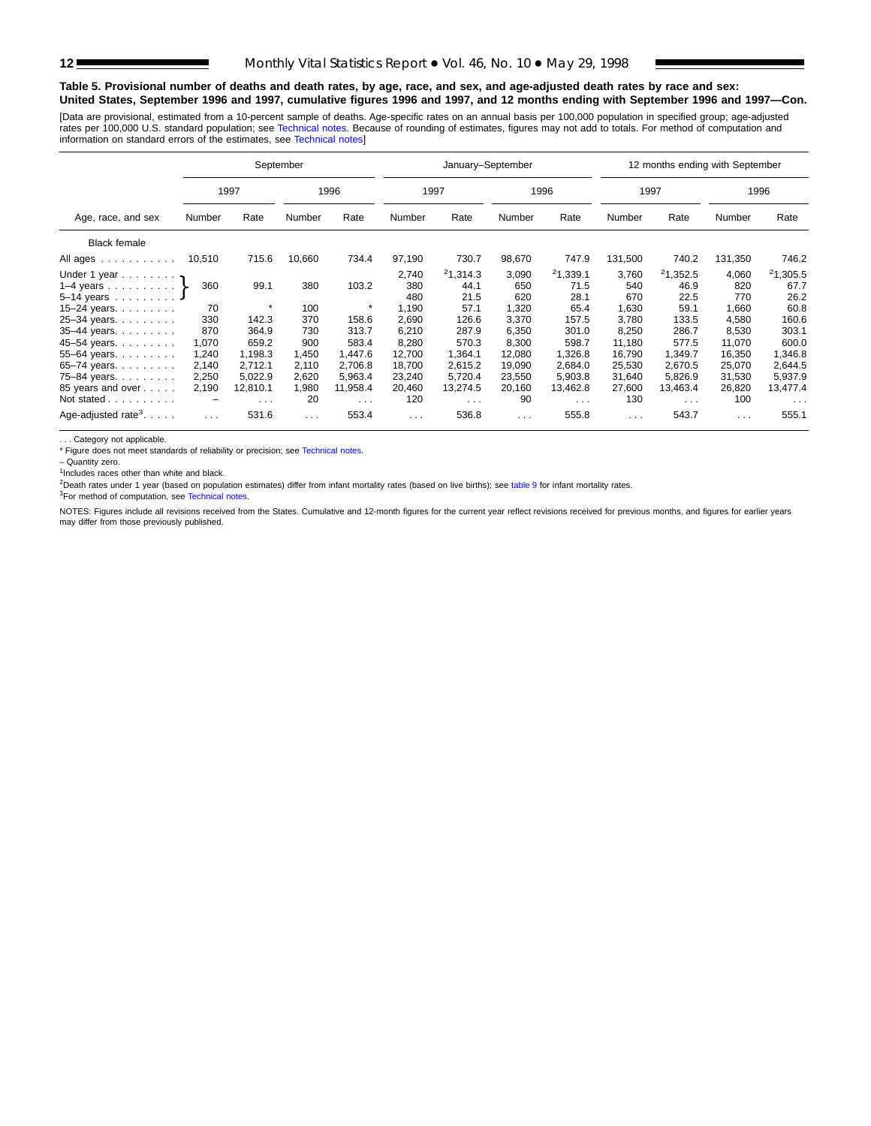# **Table 5. Provisional number of deaths and death rates, by age, race, and sex, and age-adjusted death rates by race and sex: United States, September 1996 and 1997, cumulative figures 1996 and 1997, and 12 months ending with September 1996 and 1997—Con.**

[Data are provisional, estimated from a 10-percent sample of deaths. Age-specific rates on an annual basis per 100,000 population in specified group; age-adjusted rates per 100,000 U.S. standard population; see [Technical notes. Beca](#page-16-0)use of rounding of estimates, figures may not add to totals. For method of computation and<br>information on standard errors of the estimates, see Technical

|                                                                                                                 |                                                |                                                          | September                                    |                                                          |                                                       | January-September                                        |                                                       |                                                          |                                                        | 12 months ending with September                          |                                                        |                                                          |
|-----------------------------------------------------------------------------------------------------------------|------------------------------------------------|----------------------------------------------------------|----------------------------------------------|----------------------------------------------------------|-------------------------------------------------------|----------------------------------------------------------|-------------------------------------------------------|----------------------------------------------------------|--------------------------------------------------------|----------------------------------------------------------|--------------------------------------------------------|----------------------------------------------------------|
|                                                                                                                 |                                                | 1997                                                     |                                              | 1996                                                     |                                                       | 1997                                                     |                                                       | 1996                                                     | 1997                                                   |                                                          |                                                        | 1996                                                     |
| Age, race, and sex                                                                                              | Number                                         | Rate                                                     | Number                                       | Rate                                                     | Number                                                | Rate                                                     | Number                                                | Rate                                                     | Number                                                 | Rate                                                     | Number                                                 | Rate                                                     |
| <b>Black female</b>                                                                                             |                                                |                                                          |                                              |                                                          |                                                       |                                                          |                                                       |                                                          |                                                        |                                                          |                                                        |                                                          |
| All ages                                                                                                        | 10,510                                         | 715.6                                                    | 10,660                                       | 734.4                                                    | 97,190                                                | 730.7                                                    | 98,670                                                | 747.9                                                    | 131,500                                                | 740.2                                                    | 131,350                                                | 746.2                                                    |
| Under 1 year<br>1–4 years $\}$<br>5-14 years                                                                    | 360<br>70                                      | 99.1                                                     | 380<br>100                                   | 103.2<br>$\star$                                         | 2,740<br>380<br>480<br>1,190                          | 21,314.3<br>44.1<br>21.5<br>57.1                         | 3,090<br>650<br>620<br>1,320                          | 21,339.1<br>71.5<br>28.1<br>65.4                         | 3,760<br>540<br>670<br>1,630                           | 21,352.5<br>46.9<br>22.5<br>59.1                         | 4,060<br>820<br>770<br>1,660                           | 21,305.5<br>67.7<br>26.2<br>60.8                         |
| $15 - 24$ years.<br>25-34 years.<br>35-44 years.<br>45-54 years.<br>55-64 years.<br>65-74 years.<br>75-84 years | 330<br>870<br>1,070<br>1,240<br>2,140<br>2,250 | 142.3<br>364.9<br>659.2<br>1,198.3<br>2,712.1<br>5.022.9 | 370<br>730<br>900<br>1,450<br>2,110<br>2,620 | 158.6<br>313.7<br>583.4<br>1,447.6<br>2,706.8<br>5.963.4 | 2,690<br>6,210<br>8,280<br>12,700<br>18,700<br>23,240 | 126.6<br>287.9<br>570.3<br>1,364.1<br>2,615.2<br>5,720.4 | 3.370<br>6,350<br>8,300<br>12,080<br>19,090<br>23,550 | 157.5<br>301.0<br>598.7<br>1,326.8<br>2,684.0<br>5,903.8 | 3.780<br>8,250<br>11,180<br>16,790<br>25,530<br>31.640 | 133.5<br>286.7<br>577.5<br>1,349.7<br>2,670.5<br>5,826.9 | 4,580<br>8,530<br>11,070<br>16,350<br>25,070<br>31,530 | 160.6<br>303.1<br>600.0<br>8.346.1<br>2,644.5<br>5,937.9 |
| 85 years and over<br>Not stated<br>Age-adjusted rate <sup>3</sup> . $\ldots$ .                                  | 2,190<br>-<br>$\cdots$                         | 12,810.1<br>$\sim$ $\sim$ $\sim$<br>531.6                | 1,980<br>20<br>$\sim$ $\sim$ $\sim$          | 11,958.4<br>$\sim$ $\sim$ $\sim$<br>553.4                | 20,460<br>120<br>$\cdots$                             | 13,274.5<br>$\sim$ $\sim$ $\sim$<br>536.8                | 20,160<br>90<br>$\sim$ $\sim$ $\sim$                  | 13,462.8<br>$\sim$ $\sim$ $\sim$<br>555.8                | 27,600<br>130<br>$\sim$ $\sim$ $\sim$                  | 13,463.4<br>$\sim 100$ km s $^{-1}$<br>543.7             | 26,820<br>100<br>$\cdots$                              | 13,477.4<br>$\sim$ $\sim$ $\sim$<br>555.1                |

. . . Category not applicable.

\* Figure does not meet standards of reliability or precision; see [Technical notes.](#page-16-0)

– Quantity zero.

<sup>1</sup>Includes races other than white and black.

<sup>2</sup>Death rates under 1 year (based on population estimates) differ from infant mortality rates (based on live births); see [table 9](#page-15-0) for infant mortality rates.

<sup>3</sup>For method of computation, see [Technical notes.](#page-16-0)

NOTES: Figures include all revisions received from the States. Cumulative and 12-month figures for the current year reflect revisions received for previous months, and figures for earlier years may differ from those previously published.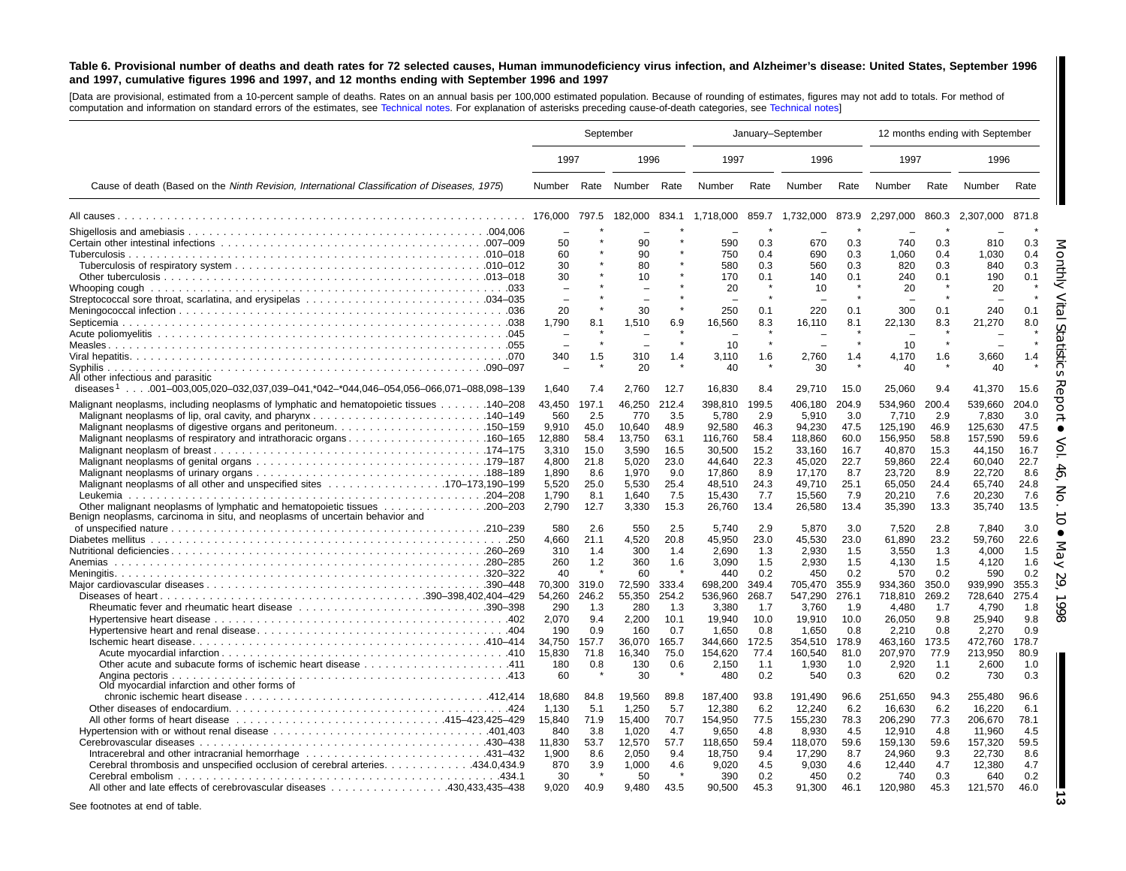### <span id="page-12-0"></span>Table 6. Provisional number of deaths and death rates for 72 selected causes, Human immunodeficiency virus infection, and Alzheimer's disease: United States, September 1996 and 1997, cumulative figures 1996 and 1997, and 12 months ending with September 1996 and 1997

[Data are provisional, estimated from <sup>a</sup> 10-percent sample of deaths. Rates on an annual basis per 100,000 estimated population. Because of rounding of estimates, figures may not add to totals. For method of computation and information on standard errors of the estimates, see [Technical](#page-16-0) notes. For explanation of asterisks preceding cause-of-death categories, see [Technical](#page-16-0) notes]

|                                                                                                                                                                                                                        |                                                                                                                            | September                                                                                               |                                                                                                                             |                                                                                                         | January-September                                                                                                                             |                                                                                                                |                                                                                                                                               |                                                                                                                | 12 months ending with September                                                                                                                |                                                                                                                |                                                                                                                                                |                                                                                                                |
|------------------------------------------------------------------------------------------------------------------------------------------------------------------------------------------------------------------------|----------------------------------------------------------------------------------------------------------------------------|---------------------------------------------------------------------------------------------------------|-----------------------------------------------------------------------------------------------------------------------------|---------------------------------------------------------------------------------------------------------|-----------------------------------------------------------------------------------------------------------------------------------------------|----------------------------------------------------------------------------------------------------------------|-----------------------------------------------------------------------------------------------------------------------------------------------|----------------------------------------------------------------------------------------------------------------|------------------------------------------------------------------------------------------------------------------------------------------------|----------------------------------------------------------------------------------------------------------------|------------------------------------------------------------------------------------------------------------------------------------------------|----------------------------------------------------------------------------------------------------------------|
|                                                                                                                                                                                                                        | 1997                                                                                                                       |                                                                                                         | 1996                                                                                                                        |                                                                                                         | 1997                                                                                                                                          |                                                                                                                | 1996                                                                                                                                          |                                                                                                                | 1997                                                                                                                                           |                                                                                                                | 1996                                                                                                                                           |                                                                                                                |
| Cause of death (Based on the Ninth Revision, International Classification of Diseases, 1975)                                                                                                                           |                                                                                                                            |                                                                                                         | Number Rate Number Rate                                                                                                     |                                                                                                         | Number                                                                                                                                        | Rate                                                                                                           | Number                                                                                                                                        | Rate                                                                                                           | Number                                                                                                                                         | Rate                                                                                                           | Number                                                                                                                                         | Rate                                                                                                           |
|                                                                                                                                                                                                                        | 176,000                                                                                                                    | 797.5                                                                                                   | 182,000                                                                                                                     | 834.1                                                                                                   | 1,718,000                                                                                                                                     | 859.7                                                                                                          | 1,732,000                                                                                                                                     |                                                                                                                | 873.9 2,297,000                                                                                                                                | 860.3                                                                                                          | 2,307,000                                                                                                                                      | 871.8                                                                                                          |
|                                                                                                                                                                                                                        | 50<br>60<br>30<br>30<br>20<br>1.790                                                                                        | 8.1                                                                                                     | 90<br>90<br>80<br>10<br>30<br>1.510                                                                                         | 6.9                                                                                                     | 590<br>750<br>580<br>170<br>20<br>250<br>16.560                                                                                               | 0.3<br>0.4<br>0.3<br>0.1<br>0.1<br>8.3                                                                         | 670<br>690<br>560<br>140<br>10<br>220<br>16,110                                                                                               | 0.3<br>0.3<br>0.3<br>0.1<br>0.1<br>8.1                                                                         | 740<br>1.060<br>820<br>240<br>20<br>300<br>22.130                                                                                              | 0.3<br>0.4<br>0.3<br>0.1<br>0.1<br>8.3                                                                         | 810<br>1.030<br>840<br>190<br>20<br>240<br>21,270                                                                                              | 0.3<br>0.4<br>0.3<br>0.1<br>0.1<br>8.0                                                                         |
| All other infectious and parasitic<br>diseases <sup>1</sup> 001–003,005,020–032,037,039–041,*042–*044,046–054,056–066,071–088,098–139                                                                                  | 340<br>1,640                                                                                                               | 1.5<br>7.4                                                                                              | 310<br>20<br>2,760                                                                                                          | $\star$<br>1.4<br>12.7                                                                                  | 10<br>3,110<br>40<br>16,830                                                                                                                   | 1.6<br>8.4                                                                                                     | 2,760<br>30<br>29,710                                                                                                                         | 1.4<br>15.0                                                                                                    | 10<br>4.170<br>40<br>25,060                                                                                                                    | 1.6<br>9.4                                                                                                     | 3,660<br>40<br>41,370                                                                                                                          | 1.4<br>15.6                                                                                                    |
| Malignant neoplasms, including neoplasms of lymphatic and hematopoietic tissues 140–208<br>Benign neoplasms, carcinoma in situ, and neoplasms of uncertain behavior and                                                | 43,450<br>560<br>9,910<br>12,880<br>3,310<br>4,800<br>1,890<br>5,520<br>1.790<br>2,790<br>580<br>4,660<br>310<br>260<br>40 | 197.1<br>2.5<br>45.0<br>58.4<br>15.0<br>21.8<br>8.6<br>25.0<br>8.1<br>12.7<br>2.6<br>21.1<br>1.4<br>1.2 | 46,250<br>770<br>10,640<br>13,750<br>3,590<br>5,020<br>1,970<br>5,530<br>1.640<br>3,330<br>550<br>4,520<br>300<br>360<br>60 | 212.4<br>3.5<br>48.9<br>63.1<br>16.5<br>23.0<br>9.0<br>25.4<br>7.5<br>15.3<br>2.5<br>20.8<br>1.4<br>1.6 | 398.810<br>5,780<br>92,580<br>116,760<br>30.500<br>44.640<br>17.860<br>48.510<br>15.430<br>26,760<br>5.740<br>45,950<br>2,690<br>3,090<br>440 | 199.5<br>2.9<br>46.3<br>58.4<br>15.2<br>22.3<br>8.9<br>24.3<br>7.7<br>13.4<br>2.9<br>23.0<br>1.3<br>1.5<br>0.2 | 406.180<br>5,910<br>94,230<br>118,860<br>33.160<br>45.020<br>17,170<br>49.710<br>15.560<br>26,580<br>5.870<br>45,530<br>2,930<br>2,930<br>450 | 204.9<br>3.0<br>47.5<br>60.0<br>16.7<br>22.7<br>8.7<br>25.1<br>7.9<br>13.4<br>3.0<br>23.0<br>1.5<br>1.5<br>0.2 | 534.960<br>7,710<br>125,190<br>156,950<br>40.870<br>59.860<br>23,720<br>65,050<br>20.210<br>35,390<br>7,520<br>61,890<br>3,550<br>4,130<br>570 | 200.4<br>2.9<br>46.9<br>58.8<br>15.3<br>22.4<br>8.9<br>24.4<br>7.6<br>13.3<br>2.8<br>23.2<br>1.3<br>1.5<br>0.2 | 539.660<br>7,830<br>125,630<br>157,590<br>44.150<br>60,040<br>22,720<br>65,740<br>20.230<br>35,740<br>7,840<br>59,760<br>4,000<br>4,120<br>590 | 204.0<br>3.0<br>47.5<br>59.6<br>16.7<br>22.7<br>8.6<br>24.8<br>7.6<br>13.5<br>3.0<br>22.6<br>1.5<br>1.6<br>0.2 |
| Angina pectoris                                                                                                                                                                                                        | 70,300<br>54,260<br>290<br>2,070<br>190<br>34.750<br>15,830<br>180<br>60                                                   | 319.0<br>246.2<br>1.3<br>9.4<br>0.9<br>157.7<br>71.8<br>0.8                                             | 72,590<br>55,350<br>280<br>2,200<br>160<br>36,070<br>16,340<br>130<br>30                                                    | 333.4<br>254.2<br>1.3<br>10.1<br>0.7<br>165.7<br>75.0<br>0.6                                            | 698,200<br>536,960<br>3,380<br>19,940<br>1,650<br>344.660<br>154,620<br>2,150<br>480                                                          | 349.4<br>268.7<br>1.7<br>10.0<br>0.8<br>172.5<br>77.4<br>1.1<br>0.2                                            | 705,470<br>547,290<br>3,760<br>19,910<br>1,650<br>354,510<br>160,540<br>1,930<br>540                                                          | 355.9<br>276.1<br>1.9<br>10.0<br>0.8<br>178.9<br>81.0<br>1.0<br>0.3                                            | 934,360<br>718,810<br>4.480<br>26,050<br>2,210<br>463,160<br>207,970<br>2,920<br>620                                                           | 350.0<br>269.2<br>1.7<br>9.8<br>0.8<br>173.5<br>77.9<br>1.1<br>0.2                                             | 939,990<br>728,640<br>4,790<br>25,940<br>2,270<br>472,760<br>213,950<br>2,600<br>730                                                           | 355.3<br>275.4<br>1.8<br>9.8<br>0.9<br>178.7<br>80.9<br>1.0<br>0.3                                             |
| Old myocardial infarction and other forms of<br>434.0,434.9. Cerebral thrombosis and unspecified occlusion of cerebral arteries. 434.0,434.9<br>All other and late effects of cerebrovascular diseases 430,433,435–438 | 18,680<br>1,130<br>15,840<br>840<br>11,830<br>1.900<br>870<br>30<br>9.020                                                  | 84.8<br>5.1<br>71.9<br>3.8<br>53.7<br>8.6<br>3.9<br>40.9                                                | 19,560<br>1,250<br>15,400<br>1,020<br>12,570<br>2.050<br>1,000<br>50<br>9.480                                               | 89.8<br>5.7<br>70.7<br>4.7<br>57.7<br>9.4<br>4.6<br>43.5                                                | 187,400<br>12,380<br>154,950<br>9,650<br>118,650<br>18.750<br>9,020<br>390<br>90,500                                                          | 93.8<br>6.2<br>77.5<br>4.8<br>59.4<br>9.4<br>4.5<br>0.2<br>45.3                                                | 191,490<br>12,240<br>155,230<br>8,930<br>118,070<br>17,290<br>9,030<br>450<br>91,300                                                          | 96.6<br>6.2<br>78.3<br>4.5<br>59.6<br>8.7<br>4.6<br>0.2<br>46.1                                                | 251,650<br>16,630<br>206,290<br>12,910<br>159,130<br>24.960<br>12,440<br>740<br>120,980                                                        | 94.3<br>6.2<br>77.3<br>4.8<br>59.6<br>9.3<br>4.7<br>0.3<br>45.3                                                | 255,480<br>16,220<br>206.670<br>11,960<br>157,320<br>22,730<br>12,380<br>640<br>121,570                                                        | 96.6<br>6.1<br>78.1<br>4.5<br>59.5<br>8.6<br>4.7<br>0.2<br>46.0                                                |

See footnotes at end of table.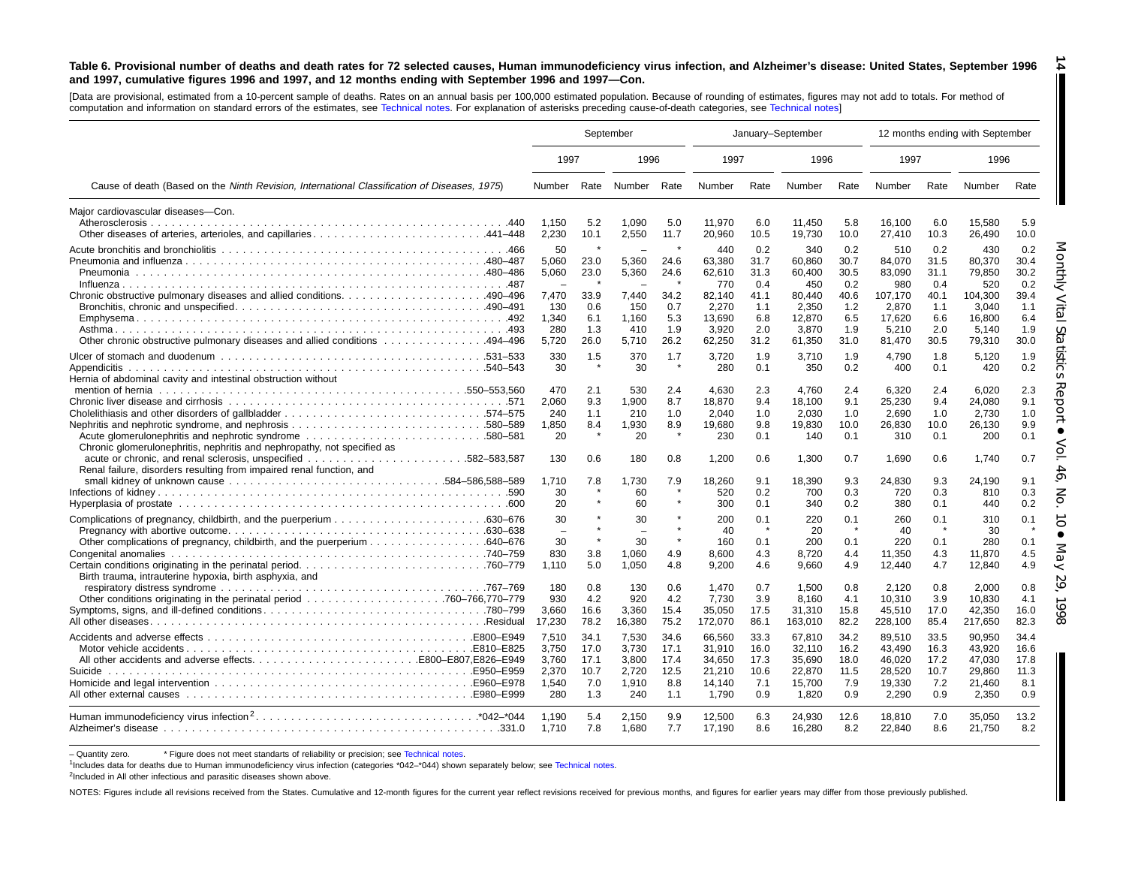#### Table 6. Provisional number of deaths and death rates for 72 selected causes, Human immunodeficiency virus infection, and Alzheimer's disease: United States, September 1996 and 1997, cumulative figures 1996 and 1997, and 12 months ending with September 1996 and 1997-Con. **14**

[Data are provisional, estimated from <sup>a</sup> 10-percent sample of deaths. Rates on an annual basis per 100,000 estimated population. Because of rounding of [estimates,](#page-16-0) figures may not add to totals. For method of computation and information on standard errors of the estimates, see [Technical](#page-16-0) notes. For explanation of asterisks preceding cause-of-death categories, see Technical notes]

|                                                                                                                                                   | September                             |                                   |                                       | January-September                 |                                              |                                   |                                              |                                   |                                               | 12 months ending with September   |                                               |                                   |
|---------------------------------------------------------------------------------------------------------------------------------------------------|---------------------------------------|-----------------------------------|---------------------------------------|-----------------------------------|----------------------------------------------|-----------------------------------|----------------------------------------------|-----------------------------------|-----------------------------------------------|-----------------------------------|-----------------------------------------------|-----------------------------------|
|                                                                                                                                                   | 1997                                  |                                   | 1996                                  |                                   | 1997                                         |                                   | 1996                                         |                                   | 1997                                          |                                   | 1996                                          |                                   |
| Cause of death (Based on the Ninth Revision, International Classification of Diseases, 1975)                                                      | Number                                |                                   | Rate Number Rate                      |                                   | Number                                       | Rate                              | Number                                       | Rate                              | Number                                        | Rate                              | Number                                        | Rate                              |
| Major cardiovascular diseases-Con.<br>Other diseases of arteries, arterioles, and capillaries441–448                                              | 1,150<br>2,230                        | 5.2<br>10.1                       | 1,090<br>2,550                        | 5.0<br>11.7                       | 11,970<br>20,960                             | 6.0<br>10.5                       | 11,450<br>19,730                             | 5.8<br>10.0                       | 16,100<br>27,410                              | 6.0<br>10.3                       | 15,580<br>26,490                              | 5.9<br>10.0                       |
|                                                                                                                                                   | 50<br>5,060<br>5,060                  | 23.0<br>23.0                      | 5.360<br>5,360                        | 24.6<br>24.6                      | 440<br>63.380<br>62,610<br>770               | 0.2<br>31.7<br>31.3<br>0.4        | 340<br>60.860<br>60,400<br>450               | 0.2<br>30.7<br>30.5<br>0.2        | 510<br>84.070<br>83,090<br>980                | 0.2<br>31.5<br>31.1<br>0.4        | 430<br>80.370<br>79,850<br>520                | 0.2<br>30.4<br>30.2<br>0.2        |
| Chronic obstructive pulmonary diseases and allied conditions490–496<br>0ther chronic obstructive pulmonary diseases and allied conditions 494–496 | 7,470<br>130<br>1,340<br>280<br>5,720 | 33.9<br>0.6<br>6.1<br>1.3<br>26.0 | 7,440<br>150<br>1.160<br>410<br>5,710 | 34.2<br>0.7<br>5.3<br>1.9<br>26.2 | 82,140<br>2.270<br>13.690<br>3,920<br>62,250 | 41.1<br>1.1<br>6.8<br>2.0<br>31.2 | 80.440<br>2.350<br>12,870<br>3,870<br>61,350 | 40.6<br>1.2<br>6.5<br>1.9<br>31.0 | 107,170<br>2.870<br>17,620<br>5,210<br>81,470 | 40.1<br>1.1<br>6.6<br>2.0<br>30.5 | 104,300<br>3.040<br>16,800<br>5,140<br>79,310 | 39.4<br>1.1<br>6.4<br>1.9<br>30.0 |
| Hernia of abdominal cavity and intestinal obstruction without                                                                                     | 330<br>30                             | 1.5                               | 370<br>30                             | 1.7                               | 3.720<br>280                                 | 1.9<br>0.1                        | 3.710<br>350                                 | 1.9<br>0.2                        | 4,790<br>400                                  | 1.8<br>0.1                        | 5.120<br>420                                  | 1.9<br>0.2                        |
| Chronic glomerulonephritis, nephritis and nephropathy, not specified as                                                                           | 470<br>2,060<br>240<br>1,850<br>20    | 2.1<br>9.3<br>1.1<br>8.4          | 530<br>1,900<br>210<br>1,930<br>20    | 2.4<br>8.7<br>1.0<br>8.9          | 4.630<br>18.870<br>2,040<br>19.680<br>230    | 2.3<br>9.4<br>1.0<br>9.8<br>0.1   | 4.760<br>18,100<br>2,030<br>19,830<br>140    | 2.4<br>9.1<br>1.0<br>10.0<br>0.1  | 6,320<br>25,230<br>2,690<br>26,830<br>310     | 2.4<br>9.4<br>1.0<br>10.0<br>0.1  | 6.020<br>24.080<br>2,730<br>26,130<br>200     | 2.3<br>9.1<br>1.0<br>9.9<br>0.1   |
| Renal failure, disorders resulting from impaired renal function, and                                                                              | 130<br>1.710<br>30<br>20              | 0.6<br>7.8                        | 180<br>1.730<br>60<br>60              | 0.8<br>7.9                        | 1,200<br>18.260<br>520<br>300                | 0.6<br>9.1<br>0.2<br>0.1          | 1,300<br>18,390<br>700<br>340                | 0.7<br>9.3<br>0.3<br>0.2          | 1,690<br>24,830<br>720<br>380                 | 0.6<br>9.3<br>0.3<br>0.1          | 1,740<br>24.190<br>810<br>440                 | 0.7<br>9.1<br>0.3<br>0.2          |
|                                                                                                                                                   | 30<br>$\overline{\phantom{0}}$<br>30  |                                   | 30<br>$\overline{\phantom{0}}$<br>30  |                                   | 200<br>40<br>160                             | 0.1<br>$\star$<br>0.1             | 220<br>20<br>200                             | 0.1<br>0.1                        | 260<br>40<br>220                              | 0.1<br>$\star$<br>0.1             | 310<br>30<br>280                              | 0.1<br>0.1                        |
| Birth trauma, intrauterine hypoxia, birth asphyxia, and                                                                                           | 830<br>1.110                          | 3.8<br>5.0                        | 1.060<br>1,050                        | 4.9<br>4.8                        | 8.600<br>9,200                               | 4.3<br>4.6                        | 8.720<br>9,660                               | 4.4<br>4.9                        | 11,350<br>12,440                              | 4.3<br>4.7                        | 11.870<br>12,840                              | 4.5<br>4.9                        |
|                                                                                                                                                   | 180<br>930<br>3,660<br>17,230         | 0.8<br>4.2<br>16.6<br>78.2        | 130<br>920<br>3,360<br>16,380         | 0.6<br>4.2<br>15.4<br>75.2        | 1,470<br>7.730<br>35,050<br>172,070          | 0.7<br>3.9<br>17.5<br>86.1        | 1,500<br>8.160<br>31,310<br>163,010          | 0.8<br>4.1<br>15.8<br>82.2        | 2,120<br>10.310<br>45,510<br>228,100          | 0.8<br>3.9<br>17.0<br>85.4        | 2,000<br>10.830<br>42,350<br>217,650          | 0.8<br>4.1<br>16.0<br>82.3        |
| Suicide                                                                                                                                           | 7.510<br>3.750<br>3,760<br>2,370      | 34.1<br>17.0<br>17.1<br>10.7      | 7.530<br>3.730<br>3,800<br>2,720      | 34.6<br>17.1<br>17.4<br>12.5      | 66.560<br>31.910<br>34,650<br>21,210         | 33.3<br>16.0<br>17.3<br>10.6      | 67,810<br>32.110<br>35,690<br>22,870         | 34.2<br>16.2<br>18.0<br>11.5      | 89,510<br>43.490<br>46,020                    | 33.5<br>16.3<br>17.2<br>10.7      | 90.950<br>43.920<br>47,030<br>29,860          | 34.4<br>16.6<br>17.8<br>11.3      |
|                                                                                                                                                   | 1,540<br>280                          | 7.0<br>1.3                        | 1,910<br>240                          | 8.8<br>1.1                        | 14,140<br>1.790                              | 7.1<br>0.9                        | 15,700<br>1.820                              | 7.9<br>0.9                        | 28,520<br>19,330<br>2.290                     | 7.2<br>0.9                        | 21,460<br>2.350                               | 8.1<br>0.9                        |
|                                                                                                                                                   | 1.190<br>1.710                        | 5.4<br>7.8                        | 2,150<br>1.680                        | 9.9<br>7.7                        | 12,500<br>17,190                             | 6.3<br>8.6                        | 24,930<br>16,280                             | 12.6<br>8.2                       | 18,810<br>22,840                              | 7.0<br>8.6                        | 35,050<br>21,750                              | 13.2<br>8.2                       |

- Quantity zero. \* Figure does not meet standarts of reliability or precision; see [Technical](#page-16-0) notes.

1Includes data for deaths due to Human immunodeficiency virus infection (categories \*042–\*044) shown separately below; see [Technical](#page-16-0) notes.

<sup>2</sup>Included in All other infectious and parasitic diseases shown above.

NOTES: Figures include all revisions received from the States. Cumulative and 12-month figures for the current year reflect revisions received for previous months, and figures for earlier years may differ from those previo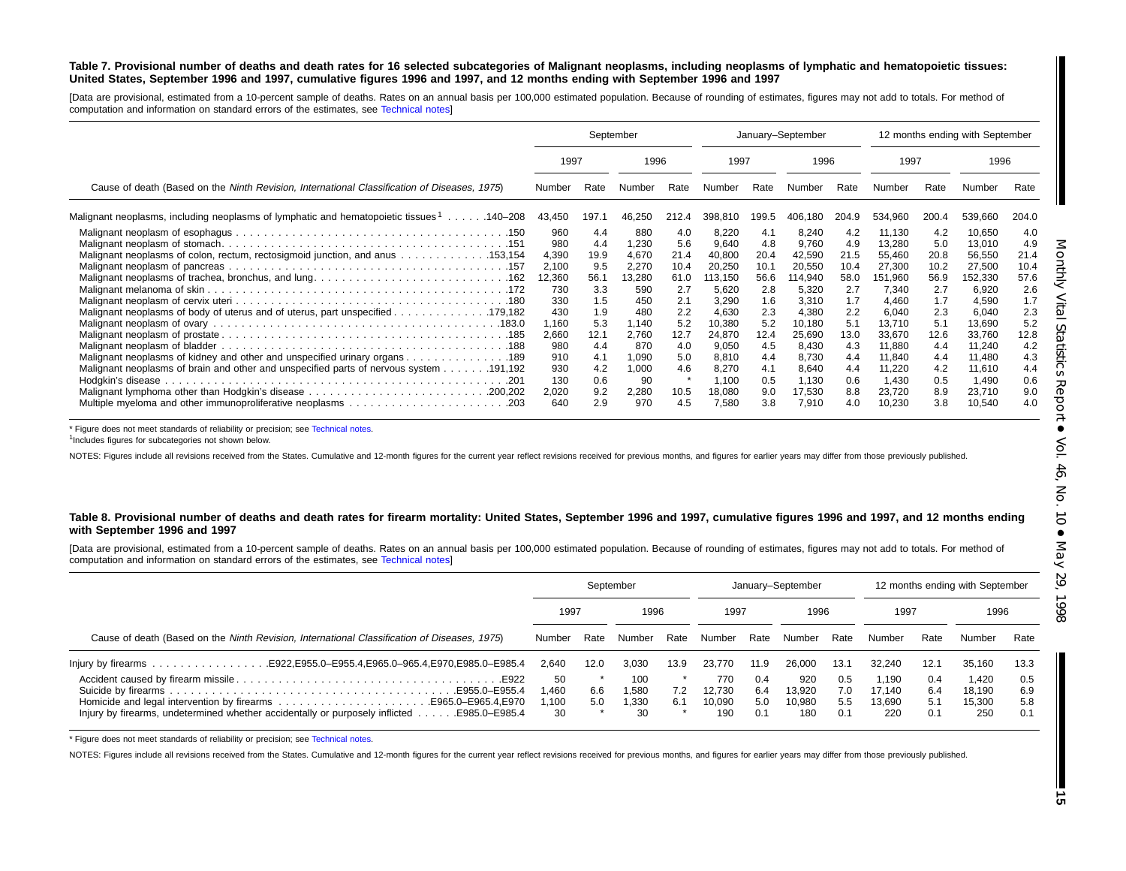### Table 7. Provisional number of deaths and death rates for 16 selected subcategories of Malignant neoplasms, including neoplasms of lymphatic and hematopoietic tissues: United States, September 1996 and 1997, cumulative figures 1996 and 1997, and 12 months ending with September 1996 and 1997

[Data are provisional, estimated from <sup>a</sup> 10-percent sample of deaths. Rates on an annual basis per 100,000 estimated population. Because of rounding of estimates, figures may not add to totals. For method of computation and information on standard errors of the estimates, see [Technical](#page-16-0) notes]

|                                                                                              |        |       | September |       | January-September |       |         |       |         |       | 12 months ending with September |       |
|----------------------------------------------------------------------------------------------|--------|-------|-----------|-------|-------------------|-------|---------|-------|---------|-------|---------------------------------|-------|
|                                                                                              | 1997   |       | 1996      |       | 1997              |       | 1996    |       | 1997    |       | 1996                            |       |
| Cause of death (Based on the Ninth Revision, International Classification of Diseases, 1975) | Number | Rate  | Number    | Rate  | Number            | Rate  | Number  | Rate  | Number  | Rate  | Number                          | Rate  |
| Malignant neoplasms, including neoplasms of lymphatic and hematopoietic tissues 1140–208     | 43,450 | 197.1 | 46,250    | 212.4 | 398,810           | 199.5 | 406.180 | 204.9 | 534.960 | 200.4 | 539,660                         | 204.0 |
|                                                                                              | 960    | 4.4   | 880       | 4.0   | 8,220             | 4.1   | 8,240   | 4.2   | 11.130  | 4.2   | 10,650                          | 4.0   |
|                                                                                              | 980    | 4.4   | 1,230     | 5.6   | 9,640             | 4.8   | 9,760   | 4.9   | 13,280  | 5.0   | 13,010                          | 4.9   |
| Malignant neoplasms of colon, rectum, rectosigmoid junction, and anus 153,154                | 4,390  | 19.9  | 4,670     | 21.4  | 40,800            | 20.4  | 42,590  | 21.5  | 55,460  | 20.8  | 56,550                          | 21.4  |
|                                                                                              | 2,100  | 9.5   | 2,270     | 10.4  | 20,250            | 10.1  | 20,550  | 10.4  | 27,300  | 10.2  | 27,500                          | 10.4  |
|                                                                                              | 12,360 | 56.1  | 13,280    | 61.0  | 113,150           | 56.6  | 114,940 | 58.0  | 151,960 | 56.9  | 152,330                         | 57.6  |
|                                                                                              | 730    | 3.3   | 590       | 2.7   | 5,620             | 2.8   | 5,320   | 2.7   | 7,340   | 2.7   | 6,920                           | 2.6   |
|                                                                                              | 330    | 1.5   | 450       | 2.1   | 3,290             | 1.6   | 3.310   | 1.7   | 4,460   | 1.7   | 4,590                           | 1.7   |
| Malignant neoplasms of body of uterus and of uterus, part unspecified 179,182                | 430    | 1.9   | 480       | 2.2   | 4,630             | 2.3   | 4,380   | 2.2   | 6,040   | 2.3   | 6,040                           | 2.3   |
|                                                                                              | 1,160  | 5.3   | 1,140     | 5.2   | 10,380            | 5.2   | 10,180  | 5.1   | 13.710  | 5.1   | 13,690                          | 5.2   |
|                                                                                              | 2,660  | 12.1  | 2,760     | 12.7  | 24,870            | 12.4  | 25,690  | 13.0  | 33,670  | 12.6  | 33,760                          | 12.8  |
|                                                                                              | 980    | 4.4   | 870       | 4.0   | 9,050             | 4.5   | 8,430   | 4.3   | 11,880  | 4.4   | 11,240                          | 4.2   |
| Malignant neoplasms of kidney and other and unspecified urinary organs 189                   | 910    | 4.1   | 1,090     | 5.0   | 8,810             | 4.4   | 8,730   | 4.4   | 11,840  | 4.4   | 11,480                          | 4.3   |
|                                                                                              | 930    | 4.2   | 1,000     | 4.6   | 8,270             | 4.1   | 8,640   | 4.4   | 11,220  | 4.2   | 11,610                          | 4.4   |
|                                                                                              | 130    | 0.6   | 90        |       | 1,100             | 0.5   | 1,130   | 0.6   | 1,430   | 0.5   | 1,490                           | 0.6   |
|                                                                                              | 2,020  | 9.2   | 2,280     | 10.5  | 18,080            | 9.0   | 17,530  | 8.8   | 23,720  | 8.9   | 23,710                          | 9.0   |
|                                                                                              | 640    | 2.9   | 970       | 4.5   | 7,580             | 3.8   | 7,910   | 4.0   | 10,230  | 3.8   | 10,540                          | 4.0   |

\* Figure does not meet standards of reliability or precision; see [Technical](#page-16-0) notes.

<sup>1</sup>Includes figures for subcategories not shown below.

NOTES: Figures include all revisions received from the States. Cumulative and 12-month figures for the current year reflect revisions received for previous months, and figures for earlier years may differ from those previo

### Table 8. Provisional number of deaths and death rates for firearm mortality: United States, September 1996 and 1997, cumulative figures 1996 and 1997, and 12 months ending **with September 1996 and 1997**

[Data are provisional, estimated from <sup>a</sup> 10-percent sample of deaths. Rates on an annual basis per 100,000 estimated population. Because of rounding of estimates, figures may not add to totals. For method of computation and information on standard errors of the estimates, see [Technical](#page-16-0) notes]

|                                                                                                             | September                  |            |                             |            |                                |                          | January-September              |                          |                                  |                          | 12 months ending with September  |                          |
|-------------------------------------------------------------------------------------------------------------|----------------------------|------------|-----------------------------|------------|--------------------------------|--------------------------|--------------------------------|--------------------------|----------------------------------|--------------------------|----------------------------------|--------------------------|
|                                                                                                             | 1997                       |            | 1996                        |            | 1997                           |                          | 1996                           |                          | 1997                             |                          | 1996                             |                          |
| Cause of death (Based on the Ninth Revision, International Classification of Diseases, 1975)                | Number                     | Rate       | Number                      | Rate       | Number                         | Rate                     | Number                         | Rate                     | Number                           | Rate                     | Number                           | Rate                     |
|                                                                                                             | 2.640                      | 12.0       | 3.030                       | 13.9       | 23.770                         | 11.9                     | 26,000                         | 13.1                     | 32.240                           | 12.1                     | 35.160                           | 13.3                     |
| E955.0-E955.4<br>Injury by firearms, undetermined whether accidentally or purposely inflicted E985.0–E985.4 | 50<br>.460،<br>.100،<br>30 | 6.6<br>5.0 | 100<br>1.580<br>1.330<br>30 | 7.2<br>6.1 | 770<br>12.730<br>10.090<br>190 | 0.4<br>6.4<br>5.0<br>0.1 | 920<br>13.920<br>10.980<br>180 | 0.5<br>7.0<br>5.5<br>0.1 | 1.190<br>17.140<br>13.690<br>220 | 0.4<br>6.4<br>5.1<br>0.1 | 1.420<br>18.190<br>15,300<br>250 | 0.5<br>6.9<br>5.8<br>0.1 |

\* Figure does not meet standards of reliability or precision; see [Technical](#page-16-0) notes.

NOTES: Figures include all revisions received from the States. Cumulative and 12-month figures for the current year reflect revisions received for previous months, and figures for earlier years may differ from those previo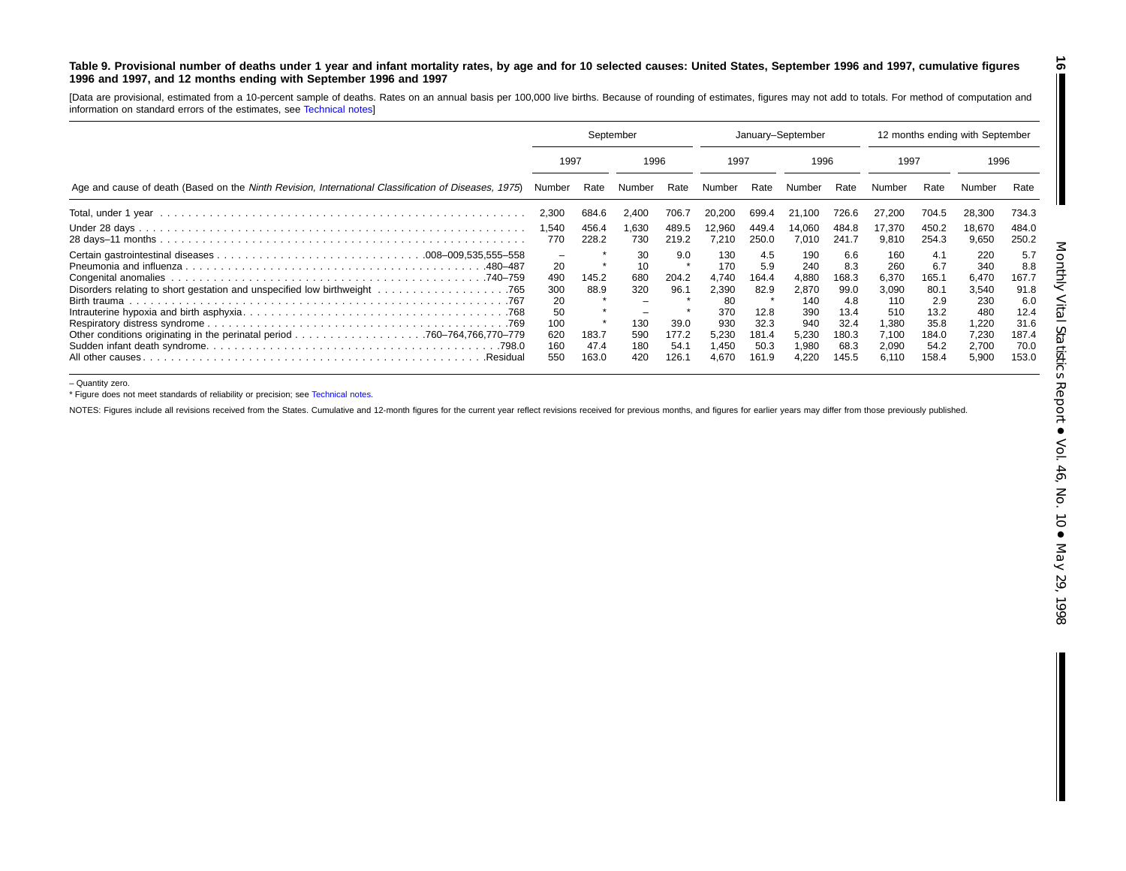### <span id="page-15-0"></span>Table 9. Provisional number of deaths under 1 year and infant mortality rates, by age and for 10 selected causes: United States, September 1996 and 1997, cumulative figures 1996 and 1997, and 12 months ending with September 1996 and 1997

[Data are provisional, estimated from <sup>a</sup> 10-percent sample of deaths. Rates on an annual basis per 100,000 live births. Because of rounding of estimates, figures may not add to totals. For method of computation and information on standard errors of the estimates, see [Technical](#page-16-0) notes]

|                                                                                                      | September                                                     |                                         |                                                    |                                                        | January-September                                                            |                                                                       |                                                                              |                                                                              | 12 months ending with September                                                |                                                                              |                                                                                |                                                                              |
|------------------------------------------------------------------------------------------------------|---------------------------------------------------------------|-----------------------------------------|----------------------------------------------------|--------------------------------------------------------|------------------------------------------------------------------------------|-----------------------------------------------------------------------|------------------------------------------------------------------------------|------------------------------------------------------------------------------|--------------------------------------------------------------------------------|------------------------------------------------------------------------------|--------------------------------------------------------------------------------|------------------------------------------------------------------------------|
|                                                                                                      | 1997                                                          |                                         | 1996                                               |                                                        | 1997                                                                         |                                                                       | 1996                                                                         |                                                                              | 1997                                                                           |                                                                              | 1996                                                                           |                                                                              |
| Age and cause of death (Based on the Ninth Revision, International Classification of Diseases, 1975) | Number                                                        | Rate                                    | Number                                             | Rate                                                   | Number                                                                       | Rate                                                                  | Number                                                                       | Rate                                                                         | Number                                                                         | Rate                                                                         |                                                                                | Rate                                                                         |
|                                                                                                      | 2,300                                                         | 684.6                                   | 2,400                                              | 706.7                                                  | 20,200                                                                       | 699.4                                                                 | 21,100                                                                       | 726.6                                                                        | 27,200                                                                         | 704.5                                                                        | 28,300                                                                         | 734.3                                                                        |
|                                                                                                      | 1,540<br>770                                                  | 456.4<br>228.2                          | .630<br>730                                        | 489.5<br>219.2                                         | 12,960<br>7.210                                                              | 449.4<br>250.0                                                        | 14,060<br>7,010                                                              | 484.8<br>241.7                                                               | 17.370<br>9.810                                                                | 450.2<br>254.3                                                               | 18,670<br>9,650                                                                | 484.0<br>250.2                                                               |
| .480–487<br>All other causes<br>.Residual                                                            | -<br>20<br>490<br>300<br>20<br>50<br>100<br>620<br>160<br>550 | 145.2<br>88.9<br>183.7<br>47.4<br>163.0 | 30<br>10<br>680<br>320<br>130<br>590<br>180<br>420 | 9.0<br>204.2<br>96.1<br>39.0<br>177.2<br>54.1<br>126.1 | 130<br>170<br>4.740<br>2,390<br>-80<br>370<br>930<br>5,230<br>1,450<br>4.670 | 4.5<br>5.9<br>164.4<br>82.9<br>12.8<br>32.3<br>181.4<br>50.3<br>161.9 | 190<br>240<br>4,880<br>2,870<br>140<br>390<br>940<br>5,230<br>1,980<br>4,220 | 6.6<br>8.3<br>168.3<br>99.0<br>4.8<br>13.4<br>32.4<br>180.3<br>68.3<br>145.5 | 160<br>260<br>6.370<br>3,090<br>110<br>510<br>1.380<br>7.100<br>2,090<br>6,110 | 4.1<br>6.7<br>165.1<br>80.1<br>2.9<br>13.2<br>35.8<br>184.0<br>54.2<br>158.4 | 220<br>340<br>6.470<br>3,540<br>230<br>480<br>1.220<br>7,230<br>2,700<br>5,900 | 5.7<br>8.8<br>167.7<br>91.8<br>6.0<br>12.4<br>31.6<br>187.4<br>70.0<br>153.0 |

– Quantity zero.

\* Figure does not meet standards of reliability or precision; see [Technical](#page-16-0) notes.

NOTES: Figures include all revisions received from the States. Cumulative and 12-month figures for the current year reflect revisions received for previous months, and figures for earlier years may differ from those previo

**16**

T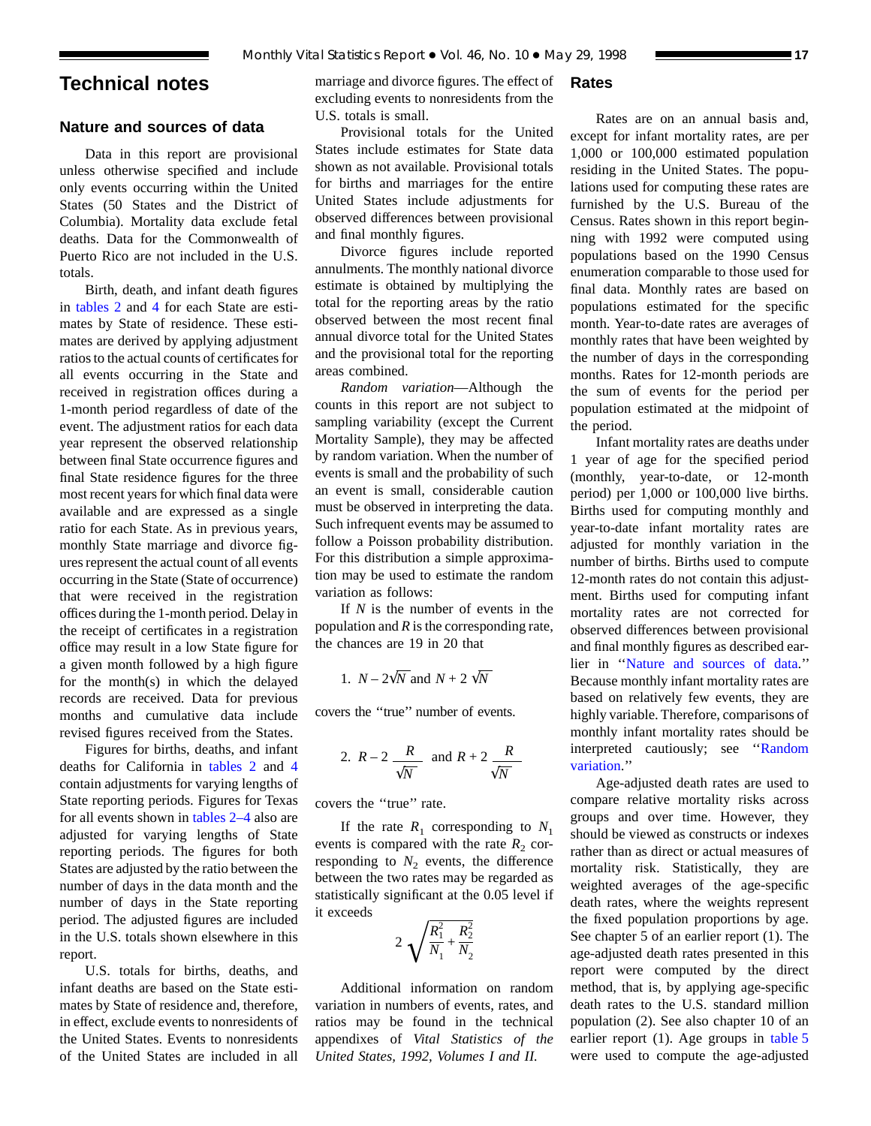# <span id="page-16-0"></span>**Technical notes**

# **Nature and sources of data**

Data in this report are provisional unless otherwise specified and include only events occurring within the United States (50 States and the District of Columbia). Mortality data exclude fetal deaths. Data for the Commonwealth of Puerto Rico are not included in the U.S. totals.

Birth, death, and infant death figures in [tables 2](#page-6-0) a[nd](#page-8-0) 4 for each State are estimates by State of residence. These estimates are derived by applying adjustment ratios to the actual counts of certificates for all events occurring in the State and received in registration offices during a 1-month period regardless of date of the event. The adjustment ratios for each data year represent the observed relationship between final State occurrence figures and final State residence figures for the three most recent years for which final data were available and are expressed as a single ratio for each State. As in previous years, monthly State marriage and divorce figures represent the actual count of all events occurring in the State (State of occurrence) that were received in the registration offices during the 1-month period. Delay in the receipt of certificates in a registration office may result in a low State figure for a given month followed by a high figure for the month(s) in which the delayed records are received. Data for previous months and cumulative data include revised figures received from the States.

Figures for births, deaths, and in[fant](#page-8-0) deaths for California in [tables 2](#page-6-0) and 4 contain adjustments for varying lengths of State reporting periods. Figures for Texas for all events shown in [tables 2–4](#page-6-0) also are adjusted for varying lengths of State reporting periods. The figures for both States are adjusted by the ratio between the number of days in the data month and the number of days in the State reporting period. The adjusted figures are included in the U.S. totals shown elsewhere in this report.

U.S. totals for births, deaths, and infant deaths are based on the State estimates by State of residence and, therefore, in effect, exclude events to nonresidents of the United States. Events to nonresidents of the United States are included in all

marriage and divorce figures. The effect of excluding events to nonresidents from the U.S. totals is small.

Provisional totals for the United States include estimates for State data shown as not available. Provisional totals for births and marriages for the entire United States include adjustments for observed differences between provisional and final monthly figures.

Divorce figures include reported annulments. The monthly national divorce estimate is obtained by multiplying the total for the reporting areas by the ratio observed between the most recent final annual divorce total for the United States and the provisional total for the reporting areas combined.

*Random variation*—Although the counts in this report are not subject to sampling variability (except the Current Mortality Sample), they may be affected by random variation. When the number of events is small and the probability of such an event is small, considerable caution must be observed in interpreting the data. Such infrequent events may be assumed to follow a Poisson probability distribution. For this distribution a simple approximation may be used to estimate the random variation as follows:

If *N* is the number of events in the population and *R* is the corresponding rate, the chances are 19 in 20 that

1. 
$$
N - 2\sqrt{N}
$$
 and  $N + 2\sqrt{N}$ 

covers the ''true'' number of events.

2. 
$$
R-2
$$
  $\frac{R}{\sqrt{N}}$  and  $R+2$   $\frac{R}{\sqrt{N}}$ 

covers the ''true'' rate.

If the rate  $R_1$  corresponding to  $N_1$ events is compared with the rate  $R_2$  corresponding to  $N_2$  events, the difference between the two rates may be regarded as statistically significant at the 0.05 level if it exceeds

$$
2\sqrt{\frac{R_1^2}{N_1} + \frac{R_2^2}{N_2}}
$$

Additional information on random variation in numbers of events, rates, and ratios may be found in the technical appendixes of *Vital Statistics of the United States, 1992, Volumes I and II.*

# **Rates**

Rates are on an annual basis and, except for infant mortality rates, are per 1,000 or 100,000 estimated population residing in the United States. The populations used for computing these rates are furnished by the U.S. Bureau of the Census. Rates shown in this report beginning with 1992 were computed using populations based on the 1990 Census enumeration comparable to those used for final data. Monthly rates are based on populations estimated for the specific month. Year-to-date rates are averages of monthly rates that have been weighted by the number of days in the corresponding months. Rates for 12-month periods are the sum of events for the period per population estimated at the midpoint of the period.

Infant mortality rates are deaths under 1 year of age for the specified period (monthly, year-to-date, or 12-month period) per 1,000 or 100,000 live births. Births used for computing monthly and year-to-date infant mortality rates are adjusted for monthly variation in the number of births. Births used to compute 12-month rates do not contain this adjustment. Births used for computing infant mortality rates are not corrected for observed differences between provisional and final monthly figures as described earlier in ''Nature and sources of data.'' Because monthly infant mortality rates are based on relatively few events, they are highly variable. Therefore, comparisons of monthly infant mortality rates should be interpreted cautiously; see ''Random variation.''

Age-adjusted death rates are used to compare relative mortality risks across groups and over time. However, they should be viewed as constructs or indexes rather than as direct or actual measures of mortality risk. Statistically, they are weighted averages of the age-specific death rates, where the weights represent the fixed population proportions by age. See chapter 5 of an earlier report (1). The age-adjusted death rates presented in this report were computed by the direct method, that is, by applying age-specific death rates to the U.S. standard million population (2). See also chapter 10 of an earlier report (1). Age groups in [table 5](#page-9-0) were used to compute the age-adjusted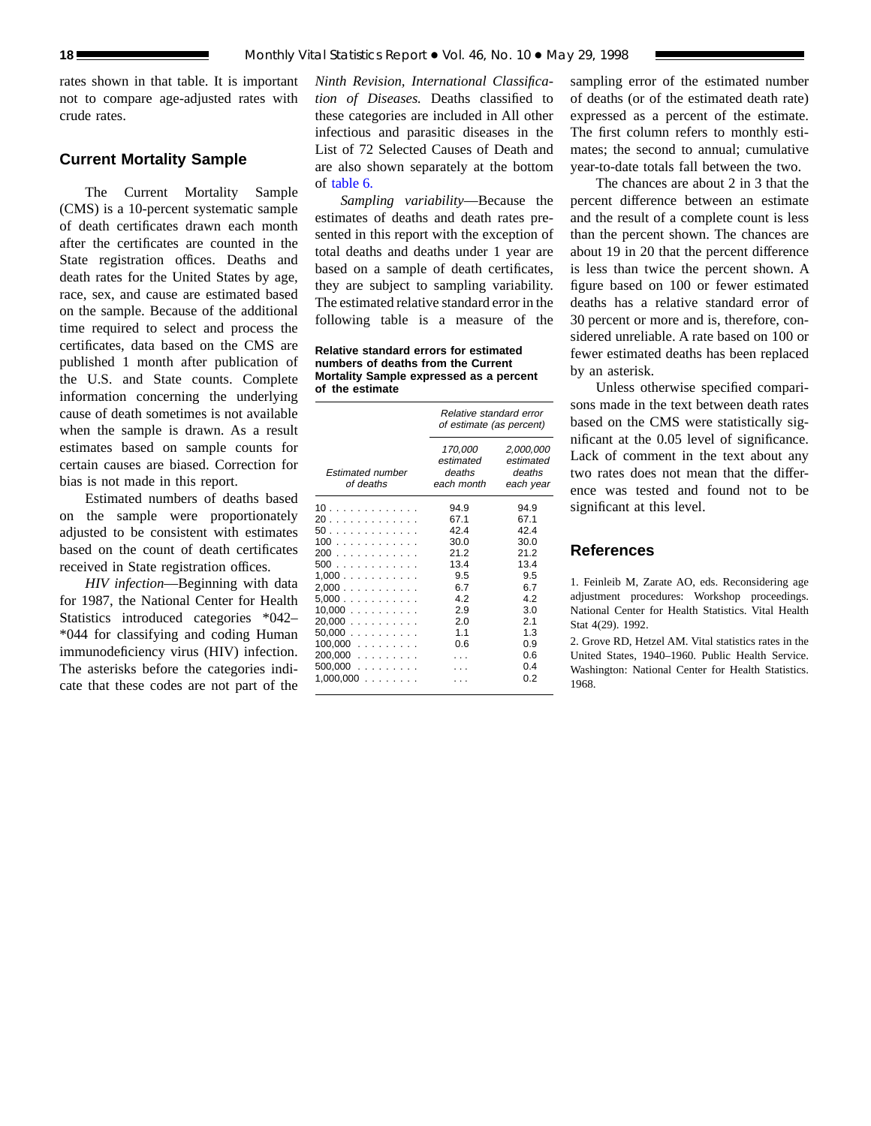rates shown in that table. It is important not to compare age-adjusted rates with crude rates.

# **Current Mortality Sample**

The Current Mortality Sample (CMS) is a 10-percent systematic sample of death certificates drawn each month after the certificates are counted in the State registration offices. Deaths and death rates for the United States by age, race, sex, and cause are estimated based on the sample. Because of the additional time required to select and process the certificates, data based on the CMS are published 1 month after publication of the U.S. and State counts. Complete information concerning the underlying cause of death sometimes is not available when the sample is drawn. As a result estimates based on sample counts for certain causes are biased. Correction for bias is not made in this report.

Estimated numbers of deaths based on the sample were proportionately adjusted to be consistent with estimates based on the count of death certificates received in State registration offices.

*HIV infection*—Beginning with data for 1987, the National Center for Health Statistics introduced categories \*042– \*044 for classifying and coding Human immunodeficiency virus (HIV) infection. The asterisks before the categories indicate that these codes are not part of the

*Ninth Revision, International Classification of Diseases.* Deaths classified to these categories are included in All other infectious and parasitic diseases in the List of 72 Selected Causes of Death and are also shown separately at the bottom of [table 6.](#page-12-0)

*Sampling variability*—Because the estimates of deaths and death rates presented in this report with the exception of total deaths and deaths under 1 year are based on a sample of death certificates, they are subject to sampling variability. The estimated relative standard error in the following table is a measure of the

**Relative standard errors for estimated numbers of deaths from the Current Mortality Sample expressed as a percent of the estimate**

|                                                                                                                        | Relative standard error<br>of estimate (as percent)                                           |                                                                                                      |  |  |  |
|------------------------------------------------------------------------------------------------------------------------|-----------------------------------------------------------------------------------------------|------------------------------------------------------------------------------------------------------|--|--|--|
| <b>Estimated number</b><br>of deaths                                                                                   | 170,000<br>estimated<br>deaths<br>each month                                                  | 2,000,000<br>estimated<br>deaths<br>each year                                                        |  |  |  |
| 10<br>20<br>50<br>100<br>200<br>500<br>1,000<br>2,000<br>5,000<br>10,000<br>20.000<br>50,000<br>$100,000$<br>$200,000$ | 94.9<br>67.1<br>42.4<br>30.0<br>21.2<br>13.4<br>9.5<br>6.7<br>4.2<br>2.9<br>2.0<br>1.1<br>0.6 | 94.9<br>67.1<br>42.4<br>30.0<br>21.2<br>13.4<br>9.5<br>6.7<br>4.2<br>3.0<br>2.1<br>1.3<br>0.9<br>0.6 |  |  |  |
| 500,000<br>$1,000,000$                                                                                                 |                                                                                               | 0.4<br>0.2                                                                                           |  |  |  |

sampling error of the estimated number of deaths (or of the estimated death rate) expressed as a percent of the estimate. The first column refers to monthly estimates; the second to annual; cumulative year-to-date totals fall between the two.

The chances are about 2 in 3 that the percent difference between an estimate and the result of a complete count is less than the percent shown. The chances are about 19 in 20 that the percent difference is less than twice the percent shown. A figure based on 100 or fewer estimated deaths has a relative standard error of 30 percent or more and is, therefore, considered unreliable. A rate based on 100 or fewer estimated deaths has been replaced by an asterisk.

Unless otherwise specified comparisons made in the text between death rates based on the CMS were statistically significant at the 0.05 level of significance. Lack of comment in the text about any two rates does not mean that the difference was tested and found not to be significant at this level.

# **References**

1. Feinleib M, Zarate AO, eds. Reconsidering age adjustment procedures: Workshop proceedings. National Center for Health Statistics. Vital Health Stat 4(29). 1992.

2. Grove RD, Hetzel AM. Vital statistics rates in the United States, 1940–1960. Public Health Service. Washington: National Center for Health Statistics. 1968.